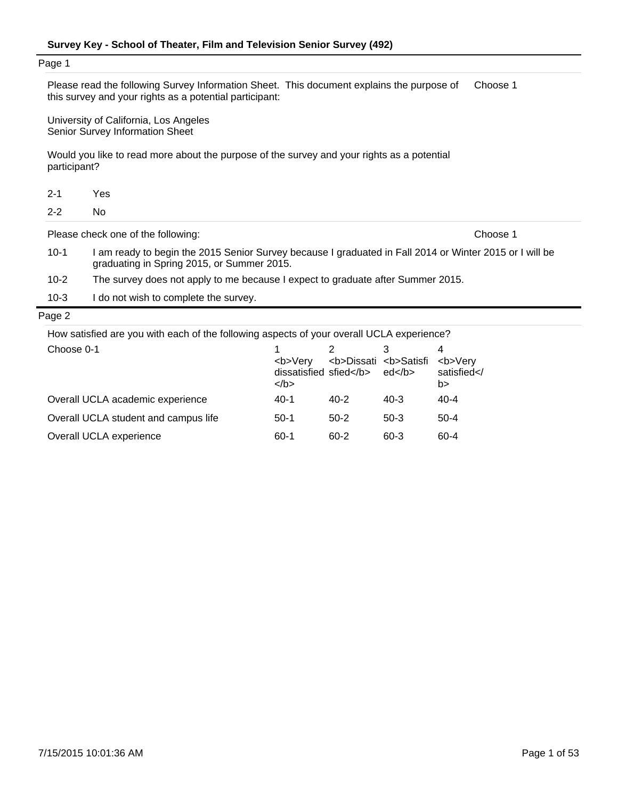| Page 1       | Please read the following Survey Information Sheet. This document explains the purpose of<br>this survey and your rights as a potential participant:  | Choose 1 |
|--------------|-------------------------------------------------------------------------------------------------------------------------------------------------------|----------|
|              | University of California, Los Angeles<br>Senior Survey Information Sheet                                                                              |          |
| participant? | Would you like to read more about the purpose of the survey and your rights as a potential                                                            |          |
| $2 - 1$      | Yes                                                                                                                                                   |          |
| $2 - 2$      | No.                                                                                                                                                   |          |
|              | Please check one of the following:                                                                                                                    | Choose 1 |
| $10-1$       | I am ready to begin the 2015 Senior Survey because I graduated in Fall 2014 or Winter 2015 or I will be<br>graduating in Spring 2015, or Summer 2015. |          |
| $10 - 2$     | The survey does not apply to me because I expect to graduate after Summer 2015.                                                                       |          |
| $10-3$       | I do not wish to complete the survey.                                                                                                                 |          |
| Page 2       |                                                                                                                                                       |          |
|              | How satisfied are you with each of the following aspects of your overall UCLA experience?                                                             |          |

| Choose 0-1                           | <b>Verv<br/>dissatisfied sfied</b><br>$<$ /b> | <b>Dissati <b>Satisfi</b></b> | ed <th><b>Very<br/>satisfied<!--<br-->b&gt;</b></th> | <b>Very<br/>satisfied<!--<br-->b&gt;</b> |
|--------------------------------------|-----------------------------------------------|-------------------------------|------------------------------------------------------|------------------------------------------|
| Overall UCLA academic experience     | 40-1                                          | $40 - 2$                      | $40 - 3$                                             | $40 - 4$                                 |
| Overall UCLA student and campus life | $50-1$                                        | $50-2$                        | $50-3$                                               | $50-4$                                   |
| Overall UCLA experience              | 60-1                                          | $60 - 2$                      | $60 - 3$                                             | 60-4                                     |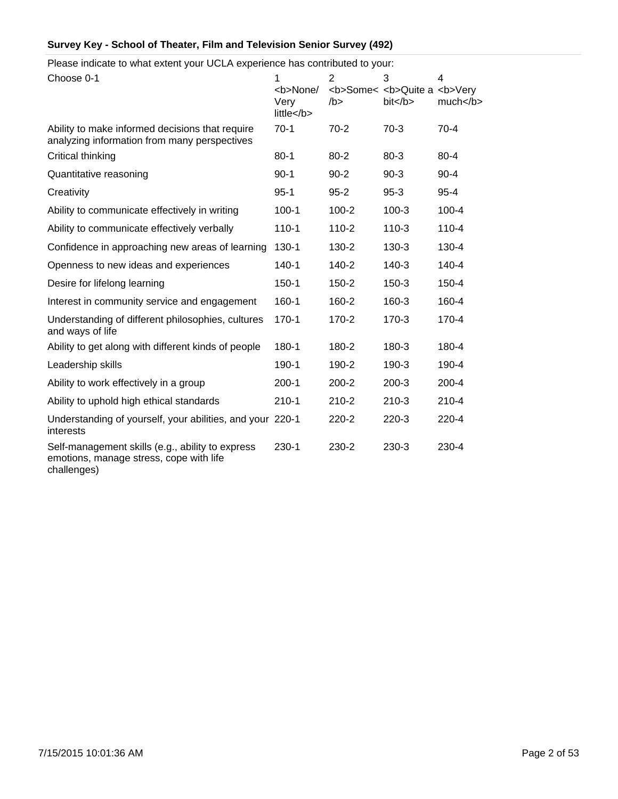Please indicate to what extent your UCLA experience has contributed to your:

| Choose 0-1                                                                                                 | 1<br><b>None/<br/>Very<br/>little <th><math>\overline{2}</math><br/>/b</th><th>3<br/><b>Some&lt; <b>Quite a <b>Very<br/>bit </b></b></b></th><th>4<br/>much </th></b> | $\overline{2}$<br>/b | 3<br><b>Some&lt; <b>Quite a <b>Very<br/>bit </b></b></b> | 4<br>much |
|------------------------------------------------------------------------------------------------------------|-----------------------------------------------------------------------------------------------------------------------------------------------------------------------|----------------------|----------------------------------------------------------|-----------|
| Ability to make informed decisions that require<br>analyzing information from many perspectives            | $70-1$                                                                                                                                                                | $70-2$               | $70-3$                                                   | $70-4$    |
| Critical thinking                                                                                          | $80 - 1$                                                                                                                                                              | $80 - 2$             | $80 - 3$                                                 | $80 - 4$  |
| Quantitative reasoning                                                                                     | $90 - 1$                                                                                                                                                              | $90 - 2$             | $90-3$                                                   | $90 - 4$  |
| Creativity                                                                                                 | $95 - 1$                                                                                                                                                              | $95 - 2$             | $95-3$                                                   | $95 - 4$  |
| Ability to communicate effectively in writing                                                              | $100 - 1$                                                                                                                                                             | $100 - 2$            | $100-3$                                                  | $100 - 4$ |
| Ability to communicate effectively verbally                                                                | $110 - 1$                                                                                                                                                             | $110 - 2$            | $110-3$                                                  | $110 - 4$ |
| Confidence in approaching new areas of learning                                                            | 130-1                                                                                                                                                                 | 130-2                | $130-3$                                                  | 130-4     |
| Openness to new ideas and experiences                                                                      | $140 - 1$                                                                                                                                                             | 140-2                | $140-3$                                                  | 140-4     |
| Desire for lifelong learning                                                                               | $150 - 1$                                                                                                                                                             | 150-2                | $150-3$                                                  | 150-4     |
| Interest in community service and engagement                                                               | 160-1                                                                                                                                                                 | 160-2                | 160-3                                                    | 160-4     |
| Understanding of different philosophies, cultures<br>and ways of life                                      | $170 - 1$                                                                                                                                                             | 170-2                | $170-3$                                                  | 170-4     |
| Ability to get along with different kinds of people                                                        | 180-1                                                                                                                                                                 | 180-2                | 180-3                                                    | 180-4     |
| Leadership skills                                                                                          | 190-1                                                                                                                                                                 | 190-2                | 190-3                                                    | 190-4     |
| Ability to work effectively in a group                                                                     | $200 - 1$                                                                                                                                                             | $200 - 2$            | $200-3$                                                  | $200 - 4$ |
| Ability to uphold high ethical standards                                                                   | $210-1$                                                                                                                                                               | $210 - 2$            | $210-3$                                                  | $210 - 4$ |
| Understanding of yourself, your abilities, and your 220-1<br>interests                                     |                                                                                                                                                                       | 220-2                | $220-3$                                                  | 220-4     |
| Self-management skills (e.g., ability to express<br>emotions, manage stress, cope with life<br>challenges) | $230 - 1$                                                                                                                                                             | 230-2                | 230-3                                                    | 230-4     |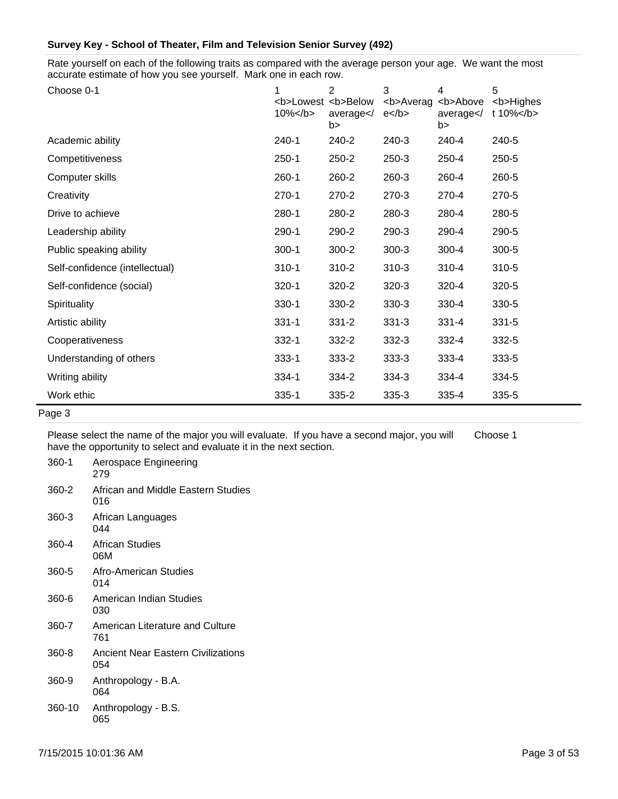Rate yourself on each of the following traits as compared with the average person your age. We want the most accurate estimate of how you see yourself. Mark one in each row.

| Choose 0-1                     | <b>Lowest <b>Below<br/><math>10\%</math> </b></b> | 2<br>average<br>b> | 3<br><b>Averag<br/><math>e</math> </b> | 4<br><b>Above<br/>average<br/>b&gt;</b> | 5<br><b>Highes<br/>t 10%</b> |
|--------------------------------|---------------------------------------------------|--------------------|----------------------------------------|-----------------------------------------|------------------------------|
| Academic ability               | $240 - 1$                                         | 240-2              | 240-3                                  | 240-4                                   | 240-5                        |
| Competitiveness                | $250-1$                                           | 250-2              | 250-3                                  | 250-4                                   | 250-5                        |
| Computer skills                | $260 - 1$                                         | 260-2              | 260-3                                  | 260-4                                   | 260-5                        |
| Creativity                     | $270-1$                                           | 270-2              | 270-3                                  | 270-4                                   | 270-5                        |
| Drive to achieve               | 280-1                                             | 280-2              | 280-3                                  | 280-4                                   | 280-5                        |
| Leadership ability             | 290-1                                             | 290-2              | 290-3                                  | 290-4                                   | 290-5                        |
| Public speaking ability        | $300-1$                                           | 300-2              | $300-3$                                | $300 - 4$                               | 300-5                        |
| Self-confidence (intellectual) | $310 - 1$                                         | 310-2              | $310-3$                                | $310 - 4$                               | 310-5                        |
| Self-confidence (social)       | $320 - 1$                                         | 320-2              | $320-3$                                | 320-4                                   | 320-5                        |
| Spirituality                   | 330-1                                             | 330-2              | 330-3                                  | 330-4                                   | 330-5                        |
| Artistic ability               | $331 - 1$                                         | $331 - 2$          | $331 - 3$                              | $331 - 4$                               | $331 - 5$                    |
| Cooperativeness                | $332 - 1$                                         | 332-2              | 332-3                                  | 332-4                                   | 332-5                        |
| Understanding of others        | $333 - 1$                                         | 333-2              | 333-3                                  | 333-4                                   | 333-5                        |
| Writing ability                | 334-1                                             | 334-2              | 334-3                                  | 334-4                                   | 334-5                        |
| Work ethic                     | $335 - 1$                                         | $335 - 2$          | 335-3                                  | 335-4                                   | 335-5                        |
| Page 3                         |                                                   |                    |                                        |                                         |                              |

Please select the name of the major you will evaluate. If you have a second major, you will

Choose 1

|  | have the opportunity to select and evaluate it in the next section. |  |  |  |  |
|--|---------------------------------------------------------------------|--|--|--|--|
|--|---------------------------------------------------------------------|--|--|--|--|

| 360-1  | Aerospace Engineering<br>279              |
|--------|-------------------------------------------|
| 360-2  | African and Middle Eastern Studies<br>016 |
| 360-3  | African Languages<br>በ44                  |
| 360-4  | African Studies<br>06M                    |
| 360-5  | Afro-American Studies<br>014              |
| 360-6  | American Indian Studies<br>030            |
| 360-7  | American Literature and Culture<br>761    |
| 360-8  | Ancient Near Eastern Civilizations<br>054 |
| 360-9  | Anthropology - B.A.<br>064                |
| 360-10 | Anthropology - B.S.<br>065                |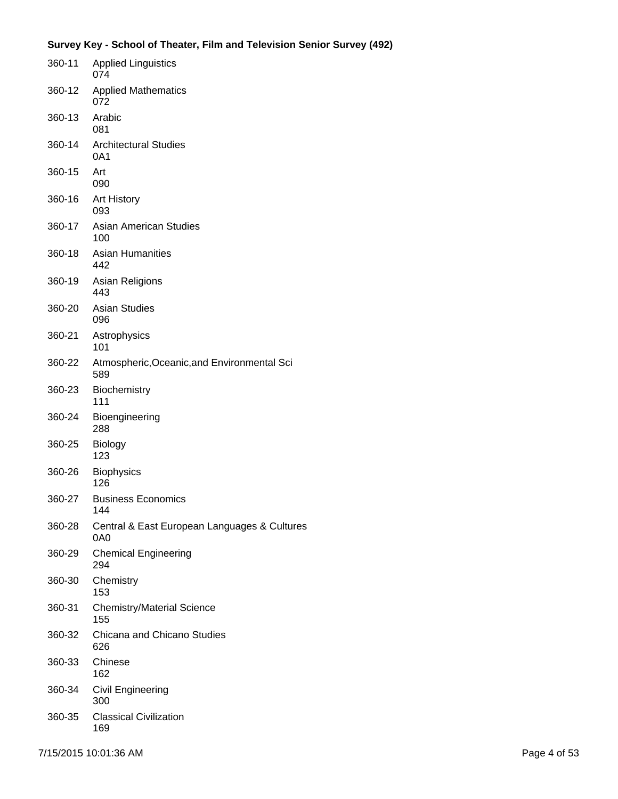| 360-11 | <b>Applied Linguistics</b><br>074                   |
|--------|-----------------------------------------------------|
| 360-12 | <b>Applied Mathematics</b><br>072                   |
| 360-13 | Arabic<br>081                                       |
| 360-14 | <b>Architectural Studies</b><br>0A1                 |
| 360-15 | Art<br>090                                          |
| 360-16 | <b>Art History</b><br>093                           |
| 360-17 | Asian American Studies<br>100                       |
| 360-18 | <b>Asian Humanities</b><br>442                      |
| 360-19 | Asian Religions<br>443                              |
| 360-20 | <b>Asian Studies</b><br>096                         |
| 360-21 | Astrophysics<br>101                                 |
| 360-22 | Atmospheric, Oceanic, and Environmental Sci<br>589  |
| 360-23 | Biochemistry<br>111                                 |
| 360-24 | Bioengineering<br>288                               |
| 360-25 | Biology<br>123                                      |
| 360-26 | <b>Biophysics</b><br>126                            |
| 360-27 | <b>Business Economics</b><br>144                    |
| 360-28 | Central & East European Languages & Cultures<br>0A0 |
| 360-29 | <b>Chemical Engineering</b><br>294                  |
| 360-30 | Chemistry<br>153                                    |
| 360-31 | <b>Chemistry/Material Science</b><br>155            |
| 360-32 | Chicana and Chicano Studies<br>626                  |
| 360-33 | Chinese<br>162                                      |
| 360-34 | Civil Engineering<br>300                            |
| 360-35 | <b>Classical Civilization</b><br>169                |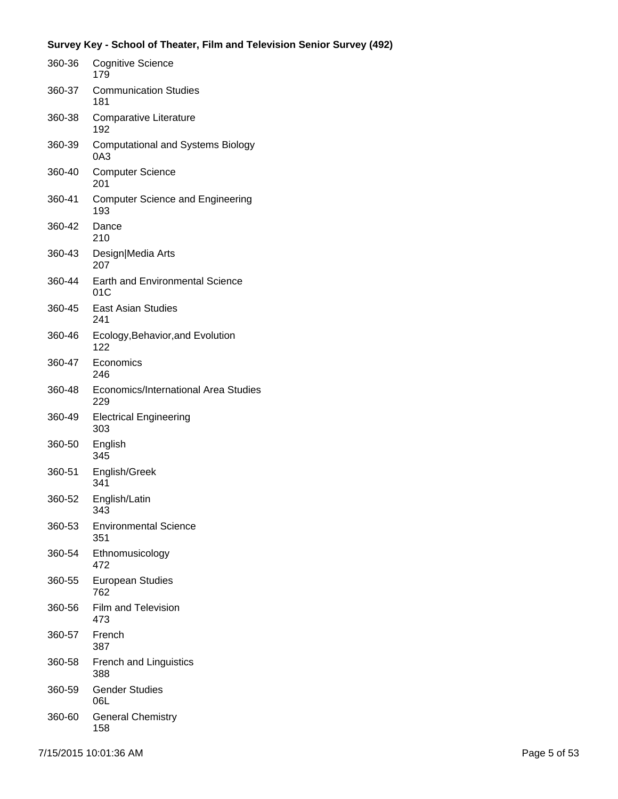| 360-36 | <b>Cognitive Science</b><br>179                 |
|--------|-------------------------------------------------|
| 360-37 | <b>Communication Studies</b><br>181             |
| 360-38 | Comparative Literature<br>192                   |
| 360-39 | <b>Computational and Systems Biology</b><br>0A3 |
| 360-40 | <b>Computer Science</b><br>201                  |
| 360-41 | <b>Computer Science and Engineering</b><br>193  |
| 360-42 | Dance<br>210                                    |
| 360-43 | Design Media Arts<br>207                        |
| 360-44 | <b>Earth and Environmental Science</b><br>01C   |
| 360-45 | <b>East Asian Studies</b><br>241                |
| 360-46 | Ecology, Behavior, and Evolution<br>122         |
| 360-47 | Economics<br>246                                |
| 360-48 | Economics/International Area Studies<br>229     |
| 360-49 | <b>Electrical Engineering</b><br>303            |
| 360-50 | English<br>345                                  |
| 360-51 | English/Greek<br>341                            |
| 360-52 | English/Latin<br>343                            |
| 360-53 | <b>Environmental Science</b><br>351             |
| 360-54 | Ethnomusicology<br>472                          |
| 360-55 | <b>European Studies</b><br>762                  |
| 360-56 | <b>Film and Television</b><br>473               |
| 360-57 | French<br>387                                   |
| 360-58 | <b>French and Linguistics</b><br>388            |
| 360-59 | <b>Gender Studies</b><br>06L                    |
| 360-60 | <b>General Chemistry</b><br>158                 |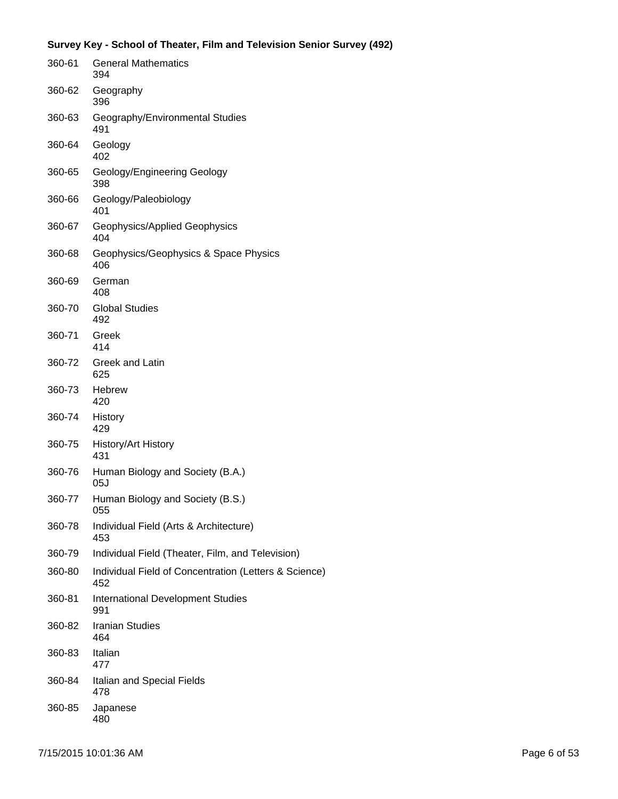| 360-61 | <b>General Mathematics</b><br>394                            |
|--------|--------------------------------------------------------------|
| 360-62 | Geography<br>396                                             |
| 360-63 | Geography/Environmental Studies<br>491                       |
| 360-64 | Geology<br>402                                               |
| 360-65 | Geology/Engineering Geology<br>398                           |
| 360-66 | Geology/Paleobiology<br>401                                  |
| 360-67 | Geophysics/Applied Geophysics<br>404                         |
| 360-68 | Geophysics/Geophysics & Space Physics<br>406                 |
| 360-69 | German<br>408                                                |
| 360-70 | <b>Global Studies</b><br>492                                 |
| 360-71 | Greek<br>414                                                 |
| 360-72 | Greek and Latin<br>625                                       |
| 360-73 | <b>Hebrew</b><br>420                                         |
| 360-74 | History<br>429                                               |
| 360-75 | History/Art History<br>431                                   |
| 360-76 | Human Biology and Society (B.A.)<br>05J                      |
| 360-77 | Human Biology and Society (B.S.)<br>055                      |
| 360-78 | Individual Field (Arts & Architecture)<br>453                |
| 360-79 | Individual Field (Theater, Film, and Television)             |
| 360-80 | Individual Field of Concentration (Letters & Science)<br>452 |
| 360-81 | <b>International Development Studies</b><br>991              |
| 360-82 | <b>Iranian Studies</b><br>464                                |
| 360-83 | Italian<br>477                                               |
| 360-84 | Italian and Special Fields<br>478                            |
| 360-85 | Japanese<br>480                                              |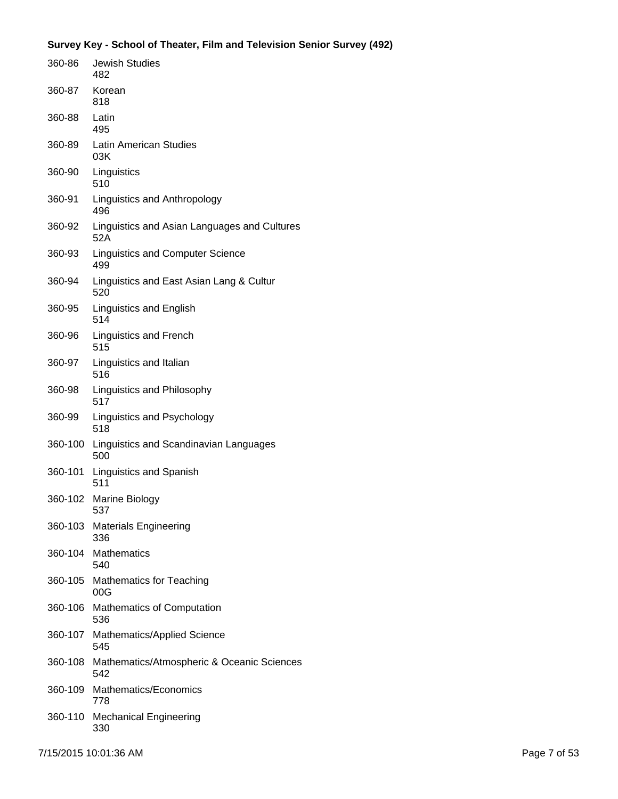| 360-86  | Jewish Studies<br>482                               |
|---------|-----------------------------------------------------|
| 360-87  | Korean<br>818                                       |
| 360-88  | Latin<br>495                                        |
| 360-89  | <b>Latin American Studies</b><br>03K                |
| 360-90  | Linguistics<br>510                                  |
| 360-91  | Linguistics and Anthropology<br>496                 |
| 360-92  | Linguistics and Asian Languages and Cultures<br>52A |
| 360-93  | <b>Linguistics and Computer Science</b><br>499      |
| 360-94  | Linguistics and East Asian Lang & Cultur<br>520     |
| 360-95  | Linguistics and English<br>514                      |
| 360-96  | <b>Linguistics and French</b><br>515                |
| 360-97  | Linguistics and Italian<br>516                      |
| 360-98  | Linguistics and Philosophy<br>517                   |
| 360-99  | Linguistics and Psychology<br>518                   |
| 360-100 | Linguistics and Scandinavian Languages<br>500       |
| 360-101 | Linguistics and Spanish<br>511                      |
| 360-102 | Marine Biology<br>537                               |
|         | 360-103 Materials Engineering<br>336                |
| 360-104 | <b>Mathematics</b><br>540                           |
| 360-105 | <b>Mathematics for Teaching</b><br>00G              |
| 360-106 | Mathematics of Computation<br>536                   |
|         | 360-107 Mathematics/Applied Science<br>545          |
| 360-108 | Mathematics/Atmospheric & Oceanic Sciences<br>542   |
| 360-109 | Mathematics/Economics<br>778                        |
| 360-110 | <b>Mechanical Engineering</b><br>330                |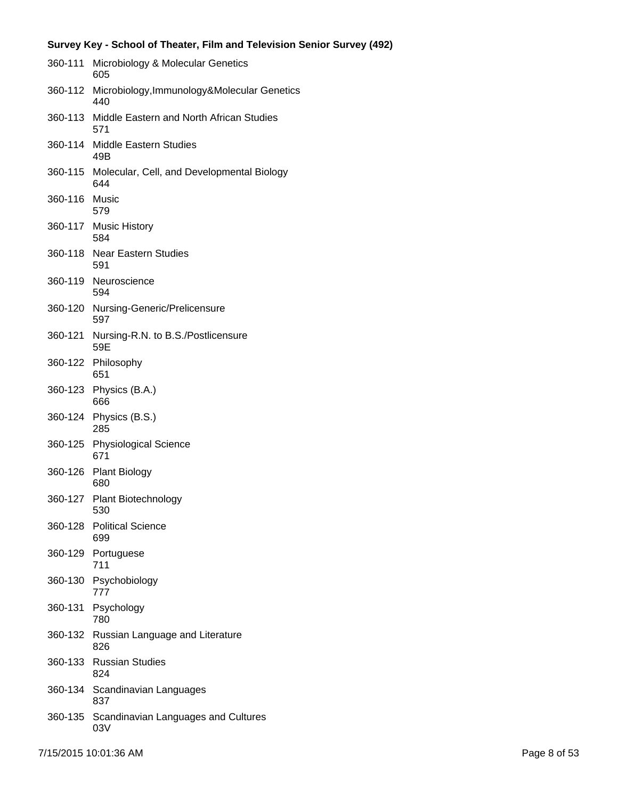|               | Survey Key - School of Theater, Film and Television Senior Survey (492) |
|---------------|-------------------------------------------------------------------------|
| 360-111       | Microbiology & Molecular Genetics<br>605                                |
|               | 360-112 Microbiology, Immunology&Molecular Genetics<br>440              |
|               | 360-113 Middle Eastern and North African Studies<br>571                 |
| 360-114       | <b>Middle Eastern Studies</b><br>49B                                    |
|               | 360-115 Molecular, Cell, and Developmental Biology<br>644               |
| 360-116 Music | 579                                                                     |
|               | 360-117 Music History<br>584                                            |
| 360-118       | Near Eastern Studies<br>591                                             |
|               | 360-119 Neuroscience<br>594                                             |
|               | 360-120 Nursing-Generic/Prelicensure<br>597                             |
| 360-121       | Nursing-R.N. to B.S./Postlicensure<br>59E                               |
| 360-122       | Philosophy<br>651                                                       |
|               | 360-123 Physics (B.A.)<br>666                                           |
|               | 360-124 Physics (B.S.)<br>285                                           |
| 360-125       | <b>Physiological Science</b><br>671                                     |
| 360-126       | <b>Plant Biology</b><br>680                                             |
|               | 360-127 Plant Biotechnology<br>530                                      |
| 360-128       | <b>Political Science</b><br>699                                         |
| 360-129       | Portuguese<br>711                                                       |
|               | 360-130 Psychobiology<br>777                                            |
| 360-131       | Psychology<br>780                                                       |
| 360-132       | Russian Language and Literature<br>826                                  |
| 360-133       | <b>Russian Studies</b><br>824                                           |
|               | 360-134 Scandinavian Languages<br>837                                   |
| 360-135       | Scandinavian Languages and Cultures<br>03V                              |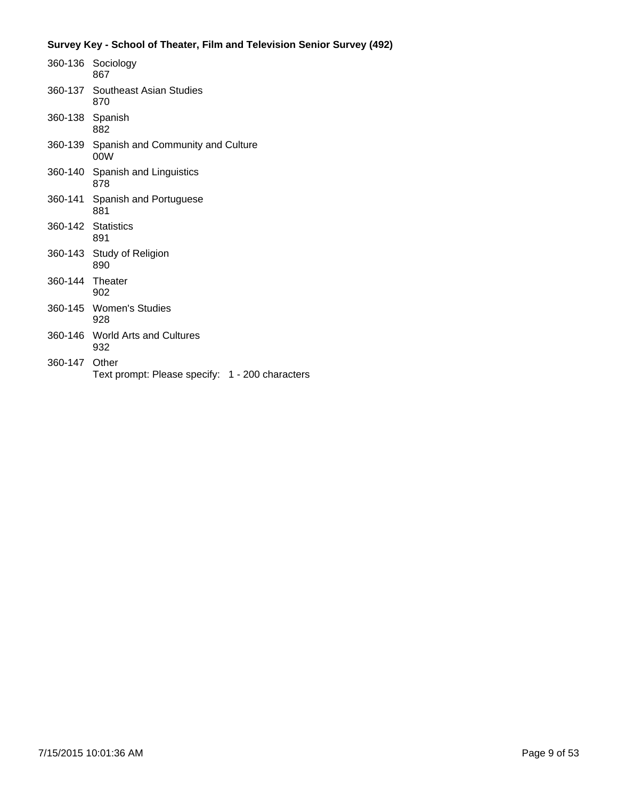|                    | 360-136 Sociology<br>867                         |
|--------------------|--------------------------------------------------|
|                    | 360-137 Southeast Asian Studies<br>870           |
| 360-138 Spanish    | 882                                              |
|                    | 360-139 Spanish and Community and Culture<br>00W |
|                    | 360-140 Spanish and Linguistics<br>878           |
|                    | 360-141 Spanish and Portuguese<br>881            |
| 360-142 Statistics | 891                                              |
|                    | 360-143 Study of Religion<br>890                 |
| 360-144 Theater    | 902                                              |
|                    | 360-145 Women's Studies<br>928                   |
|                    | 360-146 World Arts and Cultures<br>932           |
| 360-147 Other      | Text prompt: Please specify: 1 - 200 characters  |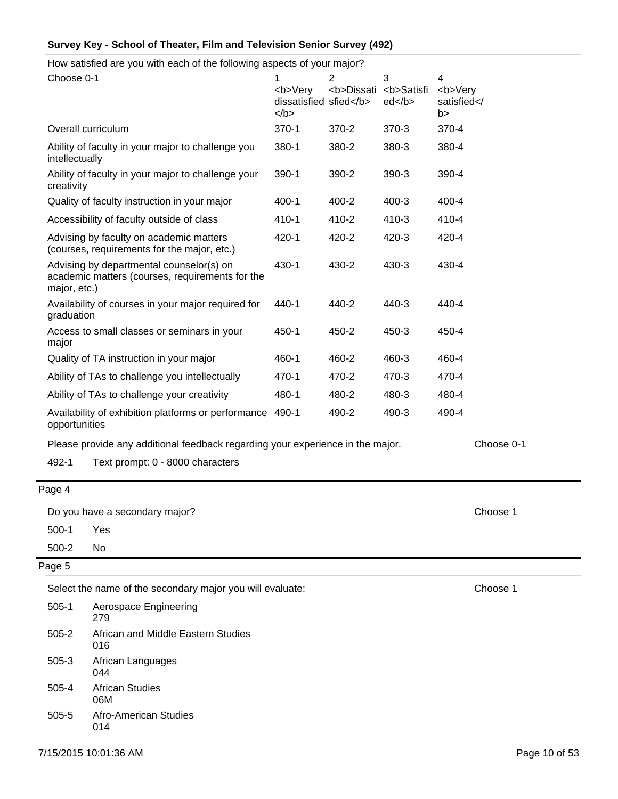How satisfied are you with each of the following aspects of your major?

| Choose 0-1                                                                                                  | 1<br><b>Very<br/>dissatisfied sfied</b><br>$<$ /b $>$ | $\overline{2}$<br><b>Dissati</b> | 3<br><b>Satisfi<br/>ed </b> | 4<br><b>Very<br/>satisfied<!--<br-->b&gt;</b> |
|-------------------------------------------------------------------------------------------------------------|-------------------------------------------------------|----------------------------------|-----------------------------|-----------------------------------------------|
| Overall curriculum                                                                                          | $370-1$                                               | 370-2                            | 370-3                       | 370-4                                         |
| Ability of faculty in your major to challenge you<br>intellectually                                         | 380-1                                                 | 380-2                            | 380-3                       | 380-4                                         |
| Ability of faculty in your major to challenge your<br>creativity                                            | 390-1                                                 | 390-2                            | 390-3                       | 390-4                                         |
| Quality of faculty instruction in your major                                                                | 400-1                                                 | 400-2                            | $400 - 3$                   | 400-4                                         |
| Accessibility of faculty outside of class                                                                   | 410-1                                                 | 410-2                            | 410-3                       | 410-4                                         |
| Advising by faculty on academic matters<br>(courses, requirements for the major, etc.)                      | 420-1                                                 | 420-2                            | 420-3                       | 420-4                                         |
| Advising by departmental counselor(s) on<br>academic matters (courses, requirements for the<br>major, etc.) | 430-1                                                 | 430-2                            | 430-3                       | 430-4                                         |
| Availability of courses in your major required for<br>graduation                                            | 440-1                                                 | 440-2                            | 440-3                       | 440-4                                         |
| Access to small classes or seminars in your<br>major                                                        | 450-1                                                 | 450-2                            | 450-3                       | 450-4                                         |
| Quality of TA instruction in your major                                                                     | 460-1                                                 | 460-2                            | 460-3                       | 460-4                                         |
| Ability of TAs to challenge you intellectually                                                              | 470-1                                                 | 470-2                            | 470-3                       | 470-4                                         |
| Ability of TAs to challenge your creativity                                                                 | 480-1                                                 | 480-2                            | 480-3                       | 480-4                                         |
| Availability of exhibition platforms or performance<br>opportunities                                        | 490-1                                                 | 490-2                            | 490-3                       | 490-4                                         |
|                                                                                                             |                                                       |                                  |                             |                                               |

Please provide any additional feedback regarding your experience in the major. Choose 0-1

492-1 Text prompt: 0 - 8000 characters

Page 4

Do you have a secondary major? Choose 1

500-1 Yes

500-2 No

Page 5

Select the name of the secondary major you will evaluate: Choose 1

| $505-1$ | Aerospace Engineering<br>279              |
|---------|-------------------------------------------|
| 505-2   | African and Middle Eastern Studies<br>016 |
| 505-3   | African Languages<br>044                  |
| 505-4   | African Studies<br>06M                    |
| 505-5   | Afro-American Studies<br>014              |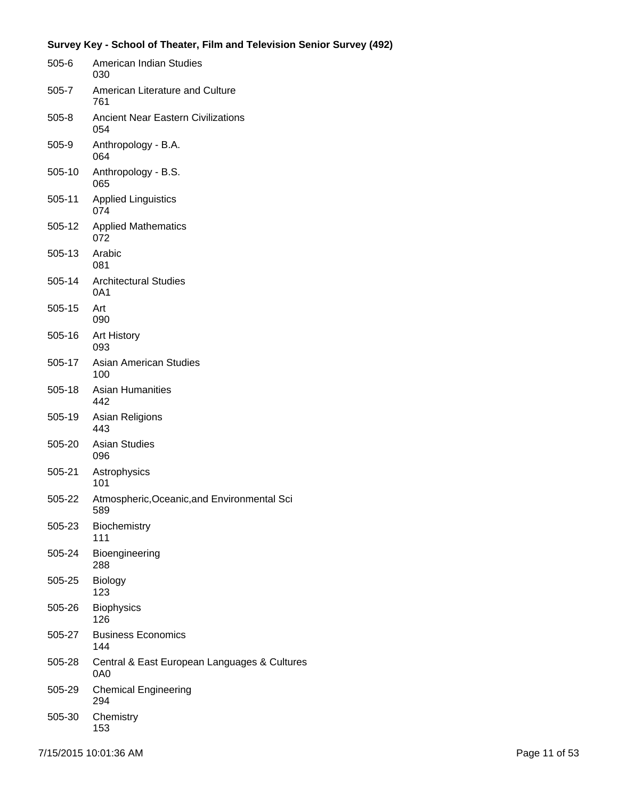| 505-6   | American Indian Studies<br>030                      |
|---------|-----------------------------------------------------|
| 505-7   | American Literature and Culture<br>761              |
| $505-8$ | <b>Ancient Near Eastern Civilizations</b><br>054    |
| 505-9   | Anthropology - B.A.<br>064                          |
| 505-10  | Anthropology - B.S.<br>065                          |
| 505-11  | <b>Applied Linguistics</b><br>074                   |
| 505-12  | <b>Applied Mathematics</b><br>072                   |
| 505-13  | Arabic<br>081                                       |
| 505-14  | <b>Architectural Studies</b><br>0A1                 |
| 505-15  | Art<br>090                                          |
| 505-16  | <b>Art History</b><br>093                           |
| 505-17  | <b>Asian American Studies</b><br>100                |
| 505-18  | <b>Asian Humanities</b><br>442                      |
| 505-19  | Asian Religions<br>443                              |
| 505-20  | <b>Asian Studies</b><br>096                         |
| 505-21  | Astrophysics<br>101                                 |
| 505-22  | Atmospheric, Oceanic, and Environmental Sci<br>589  |
| 505-23  | Biochemistry<br>111                                 |
| 505-24  | Bioengineering<br>288                               |
| 505-25  | <b>Biology</b><br>123                               |
| 505-26  | <b>Biophysics</b><br>126                            |
| 505-27  | <b>Business Economics</b><br>144                    |
| 505-28  | Central & East European Languages & Cultures<br>0A0 |
| 505-29  | <b>Chemical Engineering</b><br>294                  |
| 505-30  | Chemistry<br>153                                    |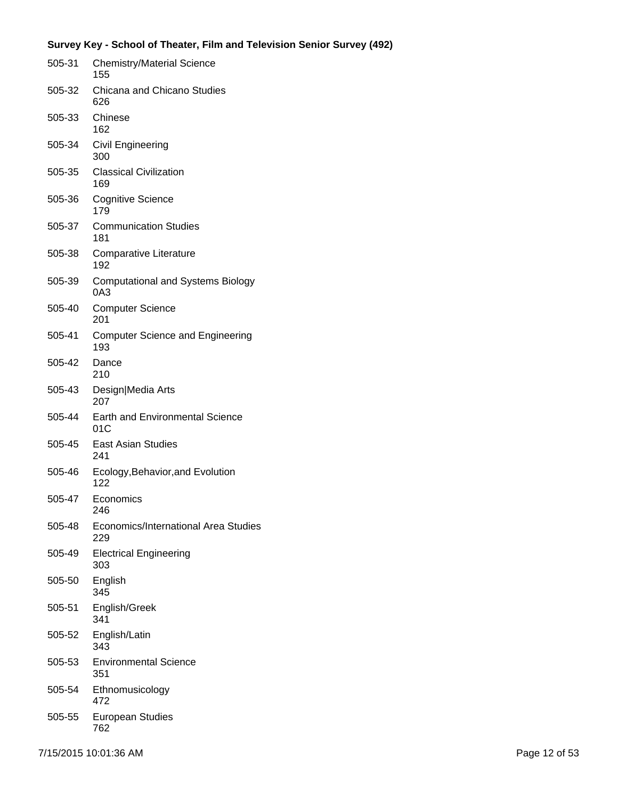| 505-31 | <b>Chemistry/Material Science</b><br>155                  |
|--------|-----------------------------------------------------------|
| 505-32 | Chicana and Chicano Studies<br>626                        |
| 505-33 | Chinese<br>162                                            |
| 505-34 | Civil Engineering<br>300                                  |
| 505-35 | <b>Classical Civilization</b><br>169                      |
| 505-36 | <b>Cognitive Science</b><br>179                           |
| 505-37 | <b>Communication Studies</b><br>181                       |
| 505-38 | <b>Comparative Literature</b><br>192                      |
| 505-39 | <b>Computational and Systems Biology</b><br>0A3           |
| 505-40 | <b>Computer Science</b><br>201                            |
| 505-41 | <b>Computer Science and Engineering</b><br>193            |
| 505-42 | Dance<br>210                                              |
| 505-43 | Design Media Arts<br>207                                  |
| 505-44 | <b>Earth and Environmental Science</b><br>01 <sub>C</sub> |
| 505-45 | <b>East Asian Studies</b><br>241                          |
| 505-46 | Ecology, Behavior, and Evolution<br>122                   |
| 505-47 | Economics<br>246                                          |
| 505-48 | Economics/International Area Studies<br>229               |
| 505-49 | <b>Electrical Engineering</b><br>303                      |
| 505-50 | English<br>345                                            |
| 505-51 | English/Greek<br>341                                      |
| 505-52 | English/Latin<br>343                                      |
| 505-53 | <b>Environmental Science</b><br>351                       |
| 505-54 | Ethnomusicology<br>472                                    |
| 505-55 | <b>European Studies</b><br>762                            |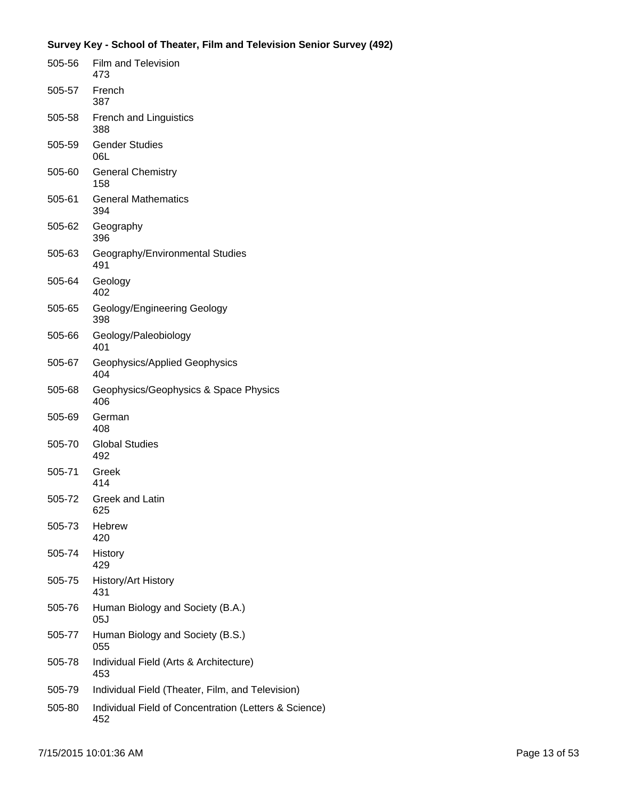| 505-56 | <b>Film and Television</b><br>473                            |
|--------|--------------------------------------------------------------|
| 505-57 | French<br>387                                                |
| 505-58 | <b>French and Linguistics</b><br>388                         |
| 505-59 | <b>Gender Studies</b><br>06L                                 |
| 505-60 | <b>General Chemistry</b><br>158                              |
| 505-61 | <b>General Mathematics</b><br>394                            |
| 505-62 | Geography<br>396                                             |
| 505-63 | Geography/Environmental Studies<br>491                       |
| 505-64 | Geology<br>402                                               |
| 505-65 | Geology/Engineering Geology<br>398                           |
| 505-66 | Geology/Paleobiology<br>401                                  |
| 505-67 | Geophysics/Applied Geophysics<br>404                         |
| 505-68 | Geophysics/Geophysics & Space Physics<br>406                 |
| 505-69 | German<br>408                                                |
| 505-70 | <b>Global Studies</b><br>492                                 |
| 505-71 | Greek<br>414                                                 |
| 505-72 | <b>Greek and Latin</b><br>625                                |
| 505-73 | Hebrew<br>420                                                |
| 505-74 | History<br>429                                               |
| 505-75 | History/Art History<br>431                                   |
| 505-76 | Human Biology and Society (B.A.)<br>05J                      |
| 505-77 | Human Biology and Society (B.S.)<br>055                      |
| 505-78 | Individual Field (Arts & Architecture)<br>453                |
| 505-79 | Individual Field (Theater, Film, and Television)             |
| 505-80 | Individual Field of Concentration (Letters & Science)<br>452 |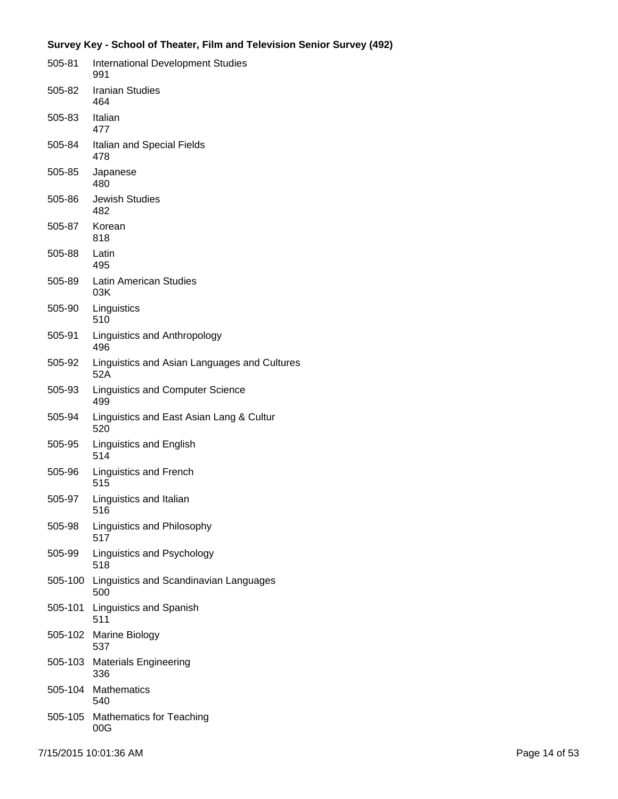| 505-81  | <b>International Development Studies</b><br>991     |
|---------|-----------------------------------------------------|
| 505-82  | <b>Iranian Studies</b><br>464                       |
| 505-83  | Italian<br>477                                      |
| 505-84  | Italian and Special Fields<br>478                   |
| 505-85  | Japanese<br>480                                     |
| 505-86  | <b>Jewish Studies</b><br>482                        |
| 505-87  | Korean<br>818                                       |
| 505-88  | Latin<br>495                                        |
| 505-89  | <b>Latin American Studies</b><br>03K                |
| 505-90  | Linguistics<br>510                                  |
| 505-91  | Linguistics and Anthropology<br>496                 |
| 505-92  | Linguistics and Asian Languages and Cultures<br>52A |
| 505-93  | <b>Linguistics and Computer Science</b><br>499      |
| 505-94  | Linguistics and East Asian Lang & Cultur<br>520     |
| 505-95  | Linguistics and English<br>514                      |
| 505-96  | Linguistics and French<br>515                       |
| 505-97  | Linguistics and Italian<br>516                      |
| 505-98  | Linguistics and Philosophy<br>517                   |
| 505-99  | Linguistics and Psychology<br>518                   |
| 505-100 | Linguistics and Scandinavian Languages<br>500       |
| 505-101 | Linguistics and Spanish<br>511                      |
| 505-102 | Marine Biology<br>537                               |
| 505-103 | <b>Materials Engineering</b><br>336                 |
| 505-104 | Mathematics<br>540                                  |
| 505-105 | <b>Mathematics for Teaching</b><br>00G              |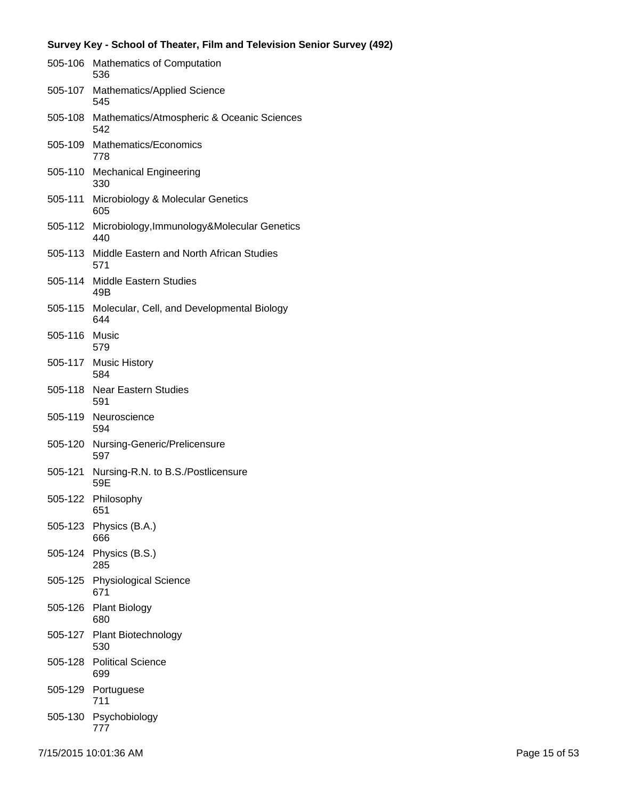|         | 505-106 Mathematics of Computation<br>536                 |
|---------|-----------------------------------------------------------|
|         | 505-107 Mathematics/Applied Science<br>545                |
|         | 505-108 Mathematics/Atmospheric & Oceanic Sciences<br>542 |
| 505-109 | Mathematics/Economics<br>778                              |
|         | 505-110 Mechanical Engineering<br>330                     |
| 505-111 | Microbiology & Molecular Genetics<br>605                  |
| 505-112 | Microbiology, Immunology&Molecular Genetics<br>440        |
| 505-113 | Middle Eastern and North African Studies<br>571           |
| 505-114 | Middle Eastern Studies<br>49B                             |
| 505-115 | Molecular, Cell, and Developmental Biology<br>644         |
| 505-116 | Music<br>579                                              |
|         | 505-117 Music History<br>584                              |
|         | 505-118 Near Eastern Studies<br>591                       |
| 505-119 | Neuroscience<br>594                                       |
| 505-120 | Nursing-Generic/Prelicensure<br>597                       |
| 505-121 | Nursing-R.N. to B.S./Postlicensure<br>59E                 |
| 505-122 | Philosophy<br>651                                         |
| 505-123 | Physics (B.A.)<br>666                                     |
| 505-124 | Physics (B.S.)<br>285                                     |
|         | 505-125 Physiological Science<br>671                      |
| 505-126 | <b>Plant Biology</b><br>680                               |
| 505-127 | <b>Plant Biotechnology</b><br>530                         |
| 505-128 | <b>Political Science</b><br>699                           |
| 505-129 | Portuguese<br>711                                         |
|         | 505-130 Psychobiology<br>777                              |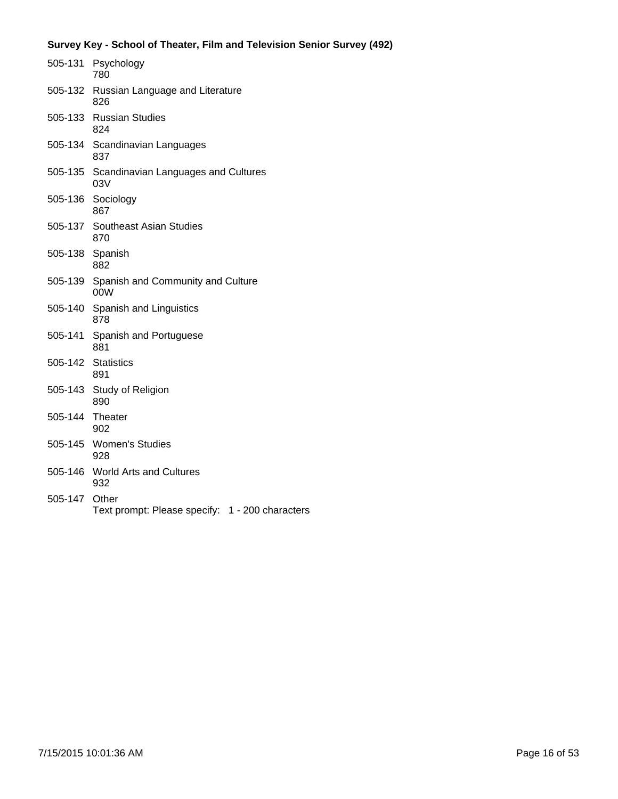|                 | 505-131 Psychology<br>780                                |
|-----------------|----------------------------------------------------------|
| 505-132         | Russian Language and Literature<br>826                   |
|                 | 505-133 Russian Studies<br>824                           |
|                 | 505-134 Scandinavian Languages<br>837                    |
| 505-135         | Scandinavian Languages and Cultures<br>03V               |
| 505-136         | Sociology<br>867                                         |
| 505-137         | <b>Southeast Asian Studies</b><br>870                    |
| 505-138         | Spanish<br>882                                           |
| 505-139         | Spanish and Community and Culture<br>00W                 |
| 505-140         | Spanish and Linguistics<br>878                           |
| 505-141         | Spanish and Portuguese<br>881                            |
| 505-142         | <b>Statistics</b><br>891                                 |
| 505-143         | Study of Religion<br>890                                 |
| 505-144 Theater | 902                                                      |
| 505-145         | <b>Women's Studies</b><br>928                            |
| 505-146         | <b>World Arts and Cultures</b><br>932                    |
| 505-147         | Other<br>Text prompt: Please specify: 1 - 200 characters |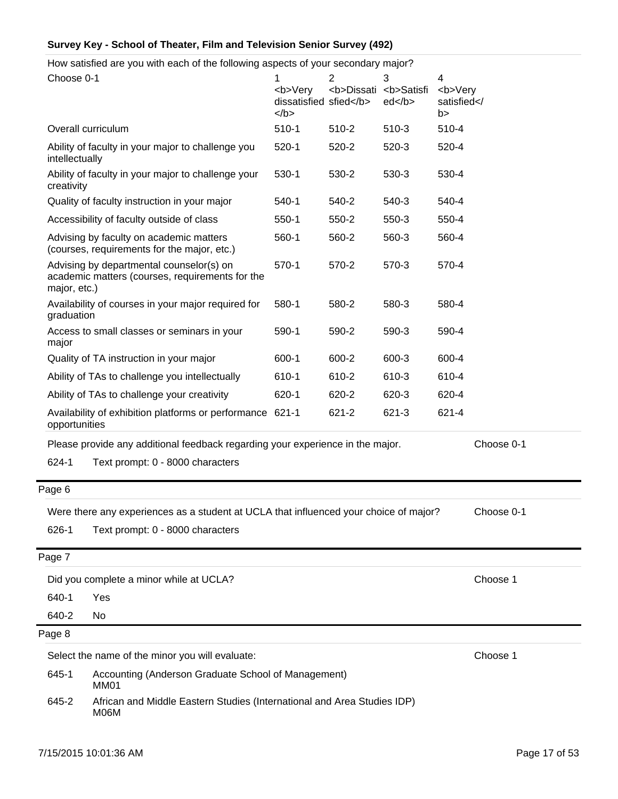How satisfied are you with each of the following aspects of your secondary major?

| Choose 0-1                                                                                   |                                                                                                     | <b>Very<br/>dissatisfied sfied</b><br>$<$ /b> | 2<br><b>Dissati</b> | 3<br><b>Satisfi<br/>ed </b> | 4<br><b>Very<br/>satisfied<!--<br-->b&gt;</b> |          |
|----------------------------------------------------------------------------------------------|-----------------------------------------------------------------------------------------------------|-----------------------------------------------|---------------------|-----------------------------|-----------------------------------------------|----------|
| Overall curriculum                                                                           |                                                                                                     | $510-1$                                       | 510-2               | 510-3                       | 510-4                                         |          |
| intellectually                                                                               | Ability of faculty in your major to challenge you                                                   | $520-1$                                       | 520-2               | 520-3                       | 520-4                                         |          |
| creativity                                                                                   | Ability of faculty in your major to challenge your                                                  | $530-1$                                       | 530-2               | 530-3                       | 530-4                                         |          |
|                                                                                              | Quality of faculty instruction in your major                                                        | $540-1$                                       | 540-2               | 540-3                       | 540-4                                         |          |
|                                                                                              | Accessibility of faculty outside of class                                                           | $550-1$                                       | 550-2               | 550-3                       | 550-4                                         |          |
|                                                                                              | Advising by faculty on academic matters<br>(courses, requirements for the major, etc.)              | 560-1                                         | 560-2               | 560-3                       | 560-4                                         |          |
| major, etc.)                                                                                 | Advising by departmental counselor(s) on<br>academic matters (courses, requirements for the         | $570-1$                                       | 570-2               | 570-3                       | 570-4                                         |          |
| graduation                                                                                   | Availability of courses in your major required for                                                  | 580-1                                         | 580-2               | 580-3                       | 580-4                                         |          |
| Access to small classes or seminars in your<br>major                                         |                                                                                                     | 590-1                                         | 590-2               | 590-3                       | 590-4                                         |          |
|                                                                                              | Quality of TA instruction in your major                                                             | 600-1                                         | 600-2               | 600-3                       | 600-4                                         |          |
|                                                                                              | Ability of TAs to challenge you intellectually                                                      | 610-1                                         | 610-2               | 610-3                       | 610-4                                         |          |
|                                                                                              | Ability of TAs to challenge your creativity                                                         | 620-1                                         | 620-2               | 620-3                       | 620-4                                         |          |
| Availability of exhibition platforms or performance 621-1<br>opportunities                   |                                                                                                     |                                               | 621-2               | 621-3                       | 621-4                                         |          |
| Please provide any additional feedback regarding your experience in the major.<br>Choose 0-1 |                                                                                                     |                                               |                     |                             |                                               |          |
| 624-1                                                                                        | Text prompt: 0 - 8000 characters                                                                    |                                               |                     |                             |                                               |          |
| Page 6                                                                                       |                                                                                                     |                                               |                     |                             |                                               |          |
|                                                                                              | Were there any experiences as a student at UCLA that influenced your choice of major?<br>Choose 0-1 |                                               |                     |                             |                                               |          |
| 626-1                                                                                        | Text prompt: 0 - 8000 characters                                                                    |                                               |                     |                             |                                               |          |
| Page 7                                                                                       |                                                                                                     |                                               |                     |                             |                                               |          |
| Did you complete a minor while at UCLA?                                                      |                                                                                                     | Choose 1                                      |                     |                             |                                               |          |
| 640-1<br>Yes                                                                                 |                                                                                                     |                                               |                     |                             |                                               |          |
| 640-2                                                                                        | No                                                                                                  |                                               |                     |                             |                                               |          |
| Page 8                                                                                       |                                                                                                     |                                               |                     |                             |                                               |          |
|                                                                                              | Select the name of the minor you will evaluate:                                                     |                                               |                     |                             |                                               | Choose 1 |
| 645-1                                                                                        | Accounting (Anderson Graduate School of Management)<br>MM01                                         |                                               |                     |                             |                                               |          |
| 645-2                                                                                        | African and Middle Eastern Studies (International and Area Studies IDP)<br>M06M                     |                                               |                     |                             |                                               |          |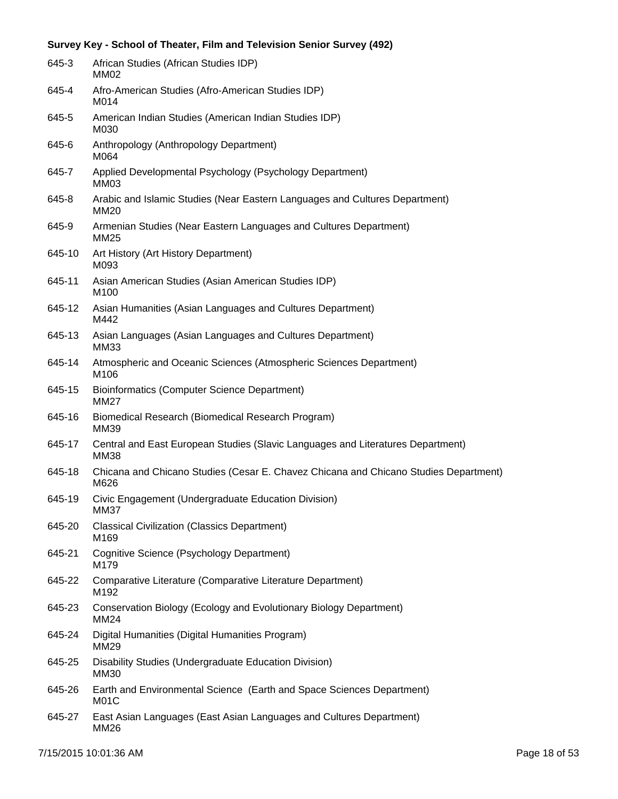| 645-3  | African Studies (African Studies IDP)<br>MM02                                                  |
|--------|------------------------------------------------------------------------------------------------|
| 645-4  | Afro-American Studies (Afro-American Studies IDP)<br>M014                                      |
| 645-5  | American Indian Studies (American Indian Studies IDP)<br>M030                                  |
| 645-6  | Anthropology (Anthropology Department)<br>M064                                                 |
| 645-7  | Applied Developmental Psychology (Psychology Department)<br>MM03                               |
| 645-8  | Arabic and Islamic Studies (Near Eastern Languages and Cultures Department)<br><b>MM20</b>     |
| 645-9  | Armenian Studies (Near Eastern Languages and Cultures Department)<br><b>MM25</b>               |
| 645-10 | Art History (Art History Department)<br>M093                                                   |
| 645-11 | Asian American Studies (Asian American Studies IDP)<br>M <sub>100</sub>                        |
| 645-12 | Asian Humanities (Asian Languages and Cultures Department)<br>M442                             |
| 645-13 | Asian Languages (Asian Languages and Cultures Department)<br><b>MM33</b>                       |
| 645-14 | Atmospheric and Oceanic Sciences (Atmospheric Sciences Department)<br>M106                     |
| 645-15 | <b>Bioinformatics (Computer Science Department)</b><br><b>MM27</b>                             |
| 645-16 | Biomedical Research (Biomedical Research Program)<br>MM39                                      |
| 645-17 | Central and East European Studies (Slavic Languages and Literatures Department)<br><b>MM38</b> |
| 645-18 | Chicana and Chicano Studies (Cesar E. Chavez Chicana and Chicano Studies Department)<br>M626   |
| 645-19 | Civic Engagement (Undergraduate Education Division)<br><b>MM37</b>                             |
| 645-20 | <b>Classical Civilization (Classics Department)</b><br>M169                                    |
| 645-21 | Cognitive Science (Psychology Department)<br>M179                                              |
| 645-22 | Comparative Literature (Comparative Literature Department)<br>M192                             |
| 645-23 | Conservation Biology (Ecology and Evolutionary Biology Department)<br><b>MM24</b>              |
| 645-24 | Digital Humanities (Digital Humanities Program)<br>MM29                                        |
| 645-25 | Disability Studies (Undergraduate Education Division)<br>MM30                                  |
| 645-26 | Earth and Environmental Science (Earth and Space Sciences Department)<br>M01C                  |
| 645-27 | East Asian Languages (East Asian Languages and Cultures Department)<br><b>MM26</b>             |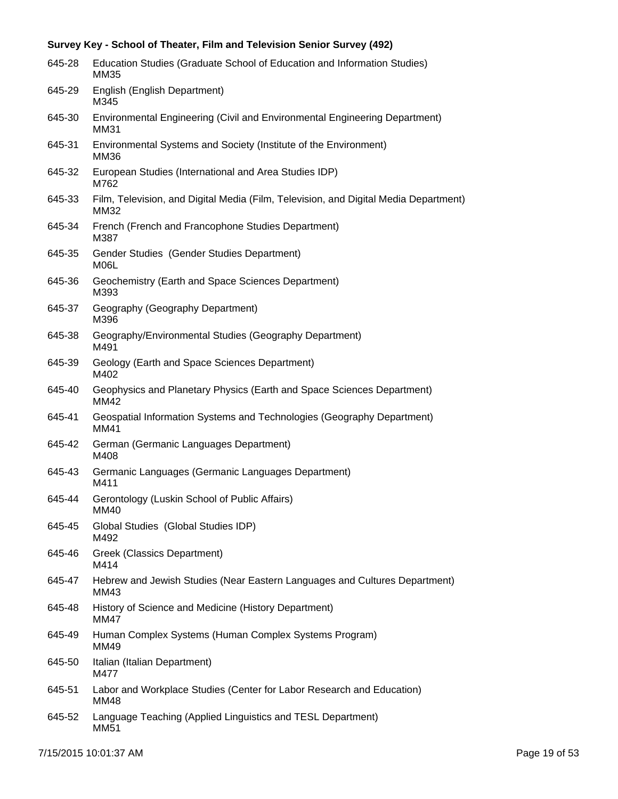| 645-28 | Education Studies (Graduate School of Education and Information Studies)<br>MM35             |
|--------|----------------------------------------------------------------------------------------------|
| 645-29 | English (English Department)<br>M345                                                         |
| 645-30 | Environmental Engineering (Civil and Environmental Engineering Department)<br><b>MM31</b>    |
| 645-31 | Environmental Systems and Society (Institute of the Environment)<br><b>MM36</b>              |
| 645-32 | European Studies (International and Area Studies IDP)<br>M762                                |
| 645-33 | Film, Television, and Digital Media (Film, Television, and Digital Media Department)<br>MM32 |
| 645-34 | French (French and Francophone Studies Department)<br>M387                                   |
| 645-35 | Gender Studies (Gender Studies Department)<br>M06L                                           |
| 645-36 | Geochemistry (Earth and Space Sciences Department)<br>M393                                   |
| 645-37 | Geography (Geography Department)<br>M396                                                     |
| 645-38 | Geography/Environmental Studies (Geography Department)<br>M491                               |
| 645-39 | Geology (Earth and Space Sciences Department)<br>M402                                        |
| 645-40 | Geophysics and Planetary Physics (Earth and Space Sciences Department)<br>MM42               |
| 645-41 | Geospatial Information Systems and Technologies (Geography Department)<br>MM41               |
| 645-42 | German (Germanic Languages Department)<br>M408                                               |
| 645-43 | Germanic Languages (Germanic Languages Department)<br>M411                                   |
| 645-44 | Gerontology (Luskin School of Public Affairs)<br>MM40                                        |
| 645-45 | Global Studies (Global Studies IDP)<br>M492                                                  |
| 645-46 | Greek (Classics Department)<br>M414                                                          |
| 645-47 | Hebrew and Jewish Studies (Near Eastern Languages and Cultures Department)<br>MM43           |
| 645-48 | History of Science and Medicine (History Department)<br><b>MM47</b>                          |
| 645-49 | Human Complex Systems (Human Complex Systems Program)<br>MM49                                |
| 645-50 | Italian (Italian Department)<br>M477                                                         |
| 645-51 | Labor and Workplace Studies (Center for Labor Research and Education)<br>MM48                |
| 645-52 | Language Teaching (Applied Linguistics and TESL Department)<br><b>MM51</b>                   |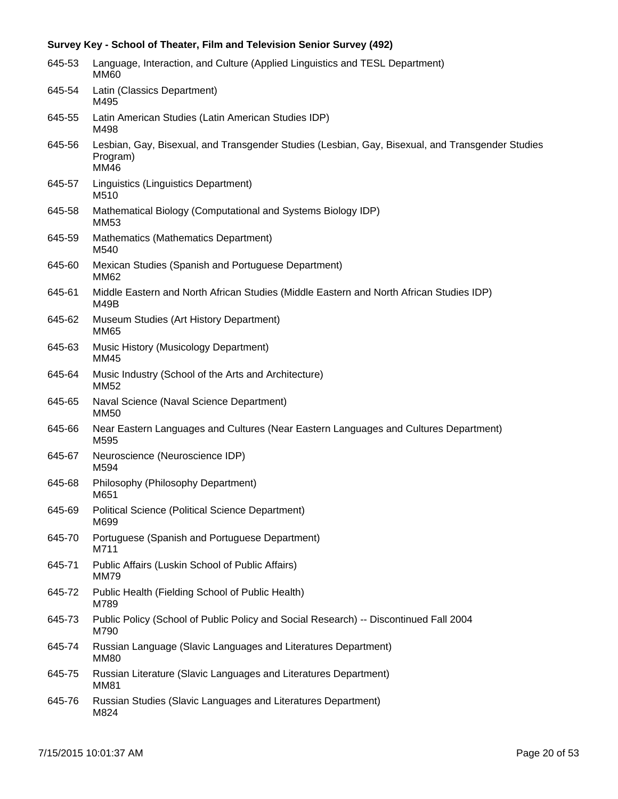| 645-53 | Language, Interaction, and Culture (Applied Linguistics and TESL Department)<br><b>MM60</b>                          |
|--------|----------------------------------------------------------------------------------------------------------------------|
| 645-54 | Latin (Classics Department)<br>M495                                                                                  |
| 645-55 | Latin American Studies (Latin American Studies IDP)<br>M498                                                          |
| 645-56 | Lesbian, Gay, Bisexual, and Transgender Studies (Lesbian, Gay, Bisexual, and Transgender Studies<br>Program)<br>MM46 |
| 645-57 | Linguistics (Linguistics Department)<br>M510                                                                         |
| 645-58 | Mathematical Biology (Computational and Systems Biology IDP)<br>MM53                                                 |
| 645-59 | Mathematics (Mathematics Department)<br>M540                                                                         |
| 645-60 | Mexican Studies (Spanish and Portuguese Department)<br>MM62                                                          |
| 645-61 | Middle Eastern and North African Studies (Middle Eastern and North African Studies IDP)<br><b>M49B</b>               |
| 645-62 | Museum Studies (Art History Department)<br><b>MM65</b>                                                               |
| 645-63 | Music History (Musicology Department)<br>MM45                                                                        |
| 645-64 | Music Industry (School of the Arts and Architecture)<br><b>MM52</b>                                                  |
| 645-65 | Naval Science (Naval Science Department)<br><b>MM50</b>                                                              |
| 645-66 | Near Eastern Languages and Cultures (Near Eastern Languages and Cultures Department)<br>M595                         |
| 645-67 | Neuroscience (Neuroscience IDP)<br>M594                                                                              |
| 645-68 | Philosophy (Philosophy Department)<br>M651                                                                           |
| 645-69 | <b>Political Science (Political Science Department)</b><br>M699                                                      |
| 645-70 | Portuguese (Spanish and Portuguese Department)<br>M711                                                               |
| 645-71 | Public Affairs (Luskin School of Public Affairs)<br><b>MM79</b>                                                      |
| 645-72 | Public Health (Fielding School of Public Health)<br>M789                                                             |
| 645-73 | Public Policy (School of Public Policy and Social Research) -- Discontinued Fall 2004<br>M790                        |
| 645-74 | Russian Language (Slavic Languages and Literatures Department)<br><b>MM80</b>                                        |
| 645-75 | Russian Literature (Slavic Languages and Literatures Department)<br><b>MM81</b>                                      |
| 645-76 | Russian Studies (Slavic Languages and Literatures Department)<br>M824                                                |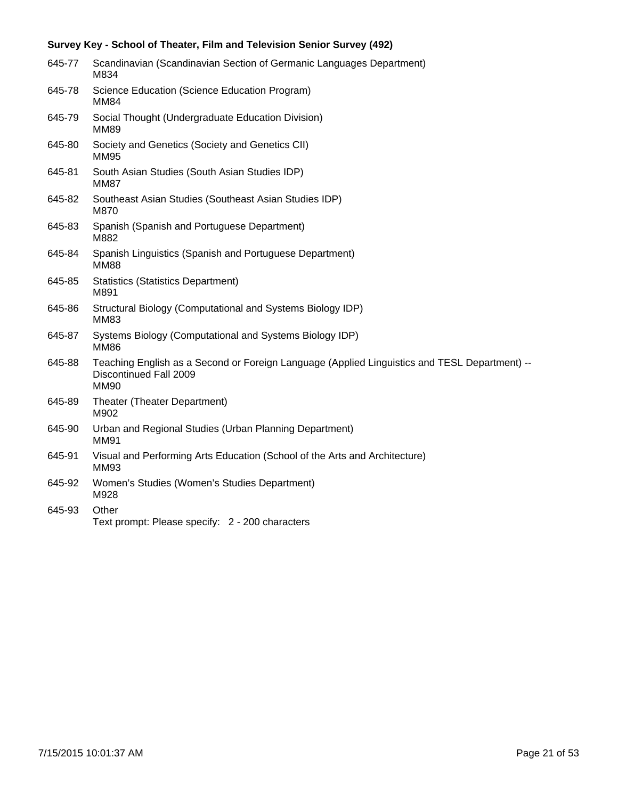| 645-77 | Scandinavian (Scandinavian Section of Germanic Languages Department)<br>M834                                                           |
|--------|----------------------------------------------------------------------------------------------------------------------------------------|
| 645-78 | Science Education (Science Education Program)<br><b>MM84</b>                                                                           |
| 645-79 | Social Thought (Undergraduate Education Division)<br><b>MM89</b>                                                                       |
| 645-80 | Society and Genetics (Society and Genetics CII)<br><b>MM95</b>                                                                         |
| 645-81 | South Asian Studies (South Asian Studies IDP)<br><b>MM87</b>                                                                           |
| 645-82 | Southeast Asian Studies (Southeast Asian Studies IDP)<br>M870                                                                          |
| 645-83 | Spanish (Spanish and Portuguese Department)<br>M882                                                                                    |
| 645-84 | Spanish Linguistics (Spanish and Portuguese Department)<br><b>MM88</b>                                                                 |
| 645-85 | <b>Statistics (Statistics Department)</b><br>M891                                                                                      |
| 645-86 | Structural Biology (Computational and Systems Biology IDP)<br><b>MM83</b>                                                              |
| 645-87 | Systems Biology (Computational and Systems Biology IDP)<br><b>MM86</b>                                                                 |
| 645-88 | Teaching English as a Second or Foreign Language (Applied Linguistics and TESL Department) --<br>Discontinued Fall 2009<br><b>MM90</b> |
| 645-89 | Theater (Theater Department)<br>M902                                                                                                   |
| 645-90 | Urban and Regional Studies (Urban Planning Department)<br><b>MM91</b>                                                                  |
| 645-91 | Visual and Performing Arts Education (School of the Arts and Architecture)<br><b>MM93</b>                                              |
| 645-92 | Women's Studies (Women's Studies Department)<br>M928                                                                                   |
| 645-93 | Other<br>Text prompt: Please specify: 2 - 200 characters                                                                               |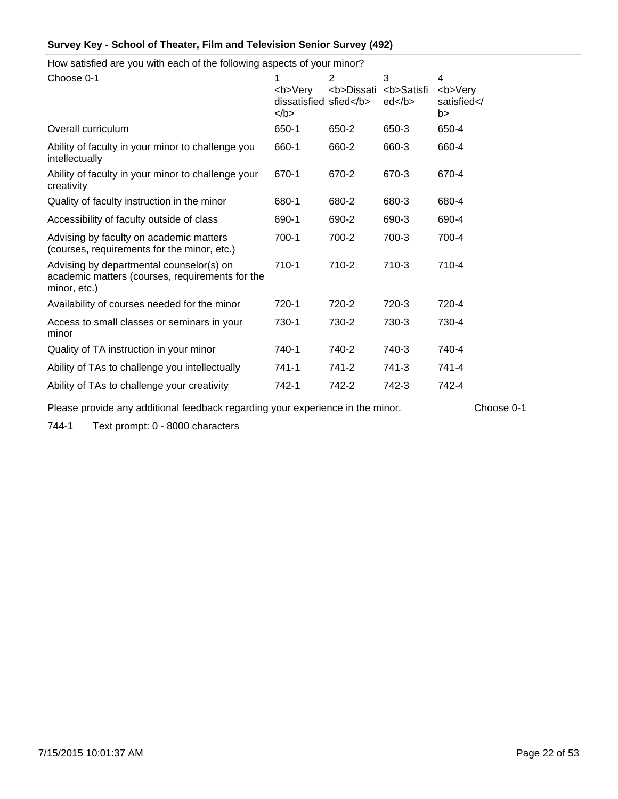How satisfied are you with each of the following aspects of your minor?

| Choose 0-1                                                                                                  | 1<br><b>Very<br/>dissatisfied sfied</b><br>$<$ /b> | $\overline{2}$<br><b>Dissati</b> | 3<br><b>Satisfi<br/>ed </b> | 4<br><b>Very<br/>satisfied<!--<br-->b&gt;</b> |
|-------------------------------------------------------------------------------------------------------------|----------------------------------------------------|----------------------------------|-----------------------------|-----------------------------------------------|
| Overall curriculum                                                                                          | 650-1                                              | 650-2                            | 650-3                       | 650-4                                         |
| Ability of faculty in your minor to challenge you<br>intellectually                                         | 660-1                                              | 660-2                            | 660-3                       | 660-4                                         |
| Ability of faculty in your minor to challenge your<br>creativity                                            | 670-1                                              | 670-2                            | 670-3                       | 670-4                                         |
| Quality of faculty instruction in the minor                                                                 | 680-1                                              | 680-2                            | 680-3                       | 680-4                                         |
| Accessibility of faculty outside of class                                                                   | 690-1                                              | 690-2                            | 690-3                       | 690-4                                         |
| Advising by faculty on academic matters<br>(courses, requirements for the minor, etc.)                      | $700-1$                                            | 700-2                            | 700-3                       | 700-4                                         |
| Advising by departmental counselor(s) on<br>academic matters (courses, requirements for the<br>minor, etc.) | $710-1$                                            | 710-2                            | 710-3                       | 710-4                                         |
| Availability of courses needed for the minor                                                                | 720-1                                              | 720-2                            | 720-3                       | 720-4                                         |
| Access to small classes or seminars in your<br>minor                                                        | 730-1                                              | 730-2                            | 730-3                       | 730-4                                         |
| Quality of TA instruction in your minor                                                                     | 740-1                                              | 740-2                            | 740-3                       | 740-4                                         |
| Ability of TAs to challenge you intellectually                                                              | $741 - 1$                                          | 741-2                            | 741-3                       | 741-4                                         |
| Ability of TAs to challenge your creativity                                                                 | 742-1                                              | 742-2                            | 742-3                       | 742-4                                         |

Please provide any additional feedback regarding your experience in the minor. Choose 0-1

744-1 Text prompt: 0 - 8000 characters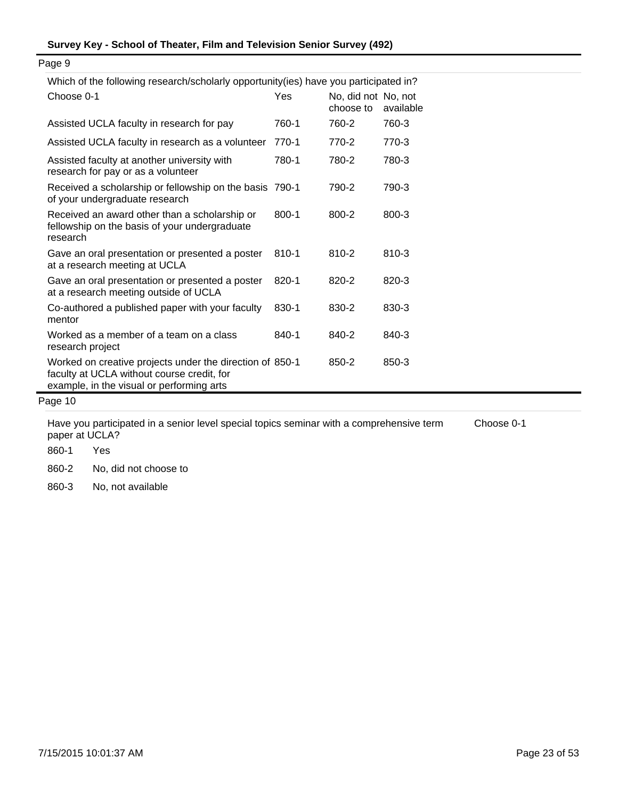| <u>VILICITUL UNUVILIU IESEALUI/SULUIAITY UPPOLIUMIITYTIESI HAVE YUU PALIIUPAIEU IIT!</u>                                                            |           |                                  |           |  |
|-----------------------------------------------------------------------------------------------------------------------------------------------------|-----------|----------------------------------|-----------|--|
| Choose 0-1                                                                                                                                          | Yes       | No, did not No, not<br>choose to | available |  |
| Assisted UCLA faculty in research for pay                                                                                                           | 760-1     | 760-2                            | 760-3     |  |
| Assisted UCLA faculty in research as a volunteer                                                                                                    | 770-1     | 770-2                            | 770-3     |  |
| Assisted faculty at another university with<br>research for pay or as a volunteer                                                                   | 780-1     | 780-2                            | 780-3     |  |
| Received a scholarship or fellowship on the basis 790-1<br>of your undergraduate research                                                           |           | 790-2                            | 790-3     |  |
| Received an award other than a scholarship or<br>fellowship on the basis of your undergraduate<br>research                                          | $800 - 1$ | 800-2                            | 800-3     |  |
| Gave an oral presentation or presented a poster<br>at a research meeting at UCLA                                                                    | 810-1     | 810-2                            | 810-3     |  |
| Gave an oral presentation or presented a poster<br>at a research meeting outside of UCLA                                                            | 820-1     | 820-2                            | 820-3     |  |
| Co-authored a published paper with your faculty<br>mentor                                                                                           | 830-1     | 830-2                            | 830-3     |  |
| Worked as a member of a team on a class<br>research project                                                                                         | 840-1     | 840-2                            | 840-3     |  |
| Worked on creative projects under the direction of 850-1<br>faculty at UCLA without course credit, for<br>example, in the visual or performing arts |           | 850-2                            | 850-3     |  |

Which of the following research/scholarly opportunity(ies) have you participated in?

Page 10

Have you participated in a senior level special topics seminar with a comprehensive term paper at UCLA? Choose 0-1

860-1 Yes

860-2 No, did not choose to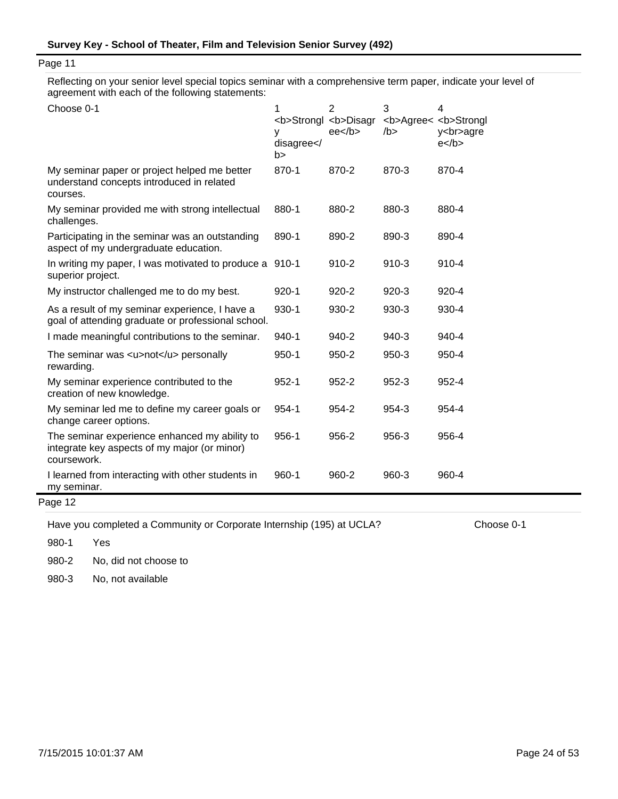Reflecting on your senior level special topics seminar with a comprehensive term paper, indicate your level of agreement with each of the following statements:

| Choose 0-1                                                                                                   | 1<br><b>Strongl <b>Disagr<br/>v<br/>disagree<!--<br-->b&gt;</b></b> | $\overline{2}$<br>$ee$ /b> | 3<br><b>Agree&lt; <b>Strongl<br/><math>/b</math>&gt;</b></b> | 4<br>y<br>agre<br>$e$ |
|--------------------------------------------------------------------------------------------------------------|---------------------------------------------------------------------|----------------------------|--------------------------------------------------------------|-----------------------|
| My seminar paper or project helped me better<br>understand concepts introduced in related<br>courses.        | 870-1                                                               | 870-2                      | 870-3                                                        | 870-4                 |
| My seminar provided me with strong intellectual<br>challenges.                                               | 880-1                                                               | 880-2                      | 880-3                                                        | 880-4                 |
| Participating in the seminar was an outstanding<br>aspect of my undergraduate education.                     | 890-1                                                               | 890-2                      | 890-3                                                        | 890-4                 |
| In writing my paper, I was motivated to produce a 910-1<br>superior project.                                 |                                                                     | 910-2                      | $910 - 3$                                                    | 910-4                 |
| My instructor challenged me to do my best.                                                                   | $920 - 1$                                                           | $920 - 2$                  | $920 - 3$                                                    | 920-4                 |
| As a result of my seminar experience, I have a<br>goal of attending graduate or professional school.         | 930-1                                                               | 930-2                      | 930-3                                                        | 930-4                 |
| I made meaningful contributions to the seminar.                                                              | 940-1                                                               | 940-2                      | 940-3                                                        | 940-4                 |
| The seminar was $\langle u \rangle$ = $\langle u \rangle$ personally<br>rewarding.                           | $950 - 1$                                                           | $950 - 2$                  | $950 - 3$                                                    | 950-4                 |
| My seminar experience contributed to the<br>creation of new knowledge.                                       | $952 - 1$                                                           | 952-2                      | 952-3                                                        | 952-4                 |
| My seminar led me to define my career goals or<br>change career options.                                     | 954-1                                                               | 954-2                      | 954-3                                                        | 954-4                 |
| The seminar experience enhanced my ability to<br>integrate key aspects of my major (or minor)<br>coursework. | 956-1                                                               | 956-2                      | 956-3                                                        | 956-4                 |
| I learned from interacting with other students in<br>my seminar.                                             | 960-1                                                               | 960-2                      | 960-3                                                        | 960-4                 |
| Page 12                                                                                                      |                                                                     |                            |                                                              |                       |

Have you completed a Community or Corporate Internship (195) at UCLA? Choose 0-1

980-1 Yes

980-2 No, did not choose to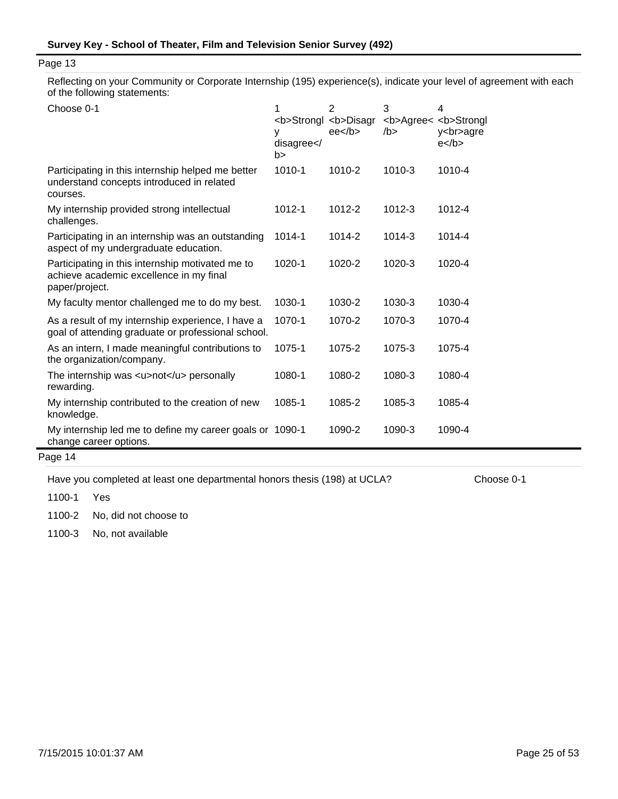Reflecting on your Community or Corporate Internship (195) experience(s), indicate your level of agreement with each of the following statements:

| Choose 0-1                                                                                                    | 1<br><b>Strongl <b>Disagr<br/>у<br/>disagree<!--<br-->b&gt;</b></b> | 2<br>ee <sub>2</sub> | 3<br><b>Agree&lt; <b>Strongl<br/>/b &gt;</b></b> | 4<br>y<br>agre<br>$e$ |
|---------------------------------------------------------------------------------------------------------------|---------------------------------------------------------------------|----------------------|--------------------------------------------------|-----------------------|
| Participating in this internship helped me better<br>understand concepts introduced in related<br>courses.    | 1010-1                                                              | 1010-2               | 1010-3                                           | 1010-4                |
| My internship provided strong intellectual<br>challenges.                                                     | 1012-1                                                              | 1012-2               | 1012-3                                           | 1012-4                |
| Participating in an internship was an outstanding<br>aspect of my undergraduate education.                    | 1014-1                                                              | 1014-2               | 1014-3                                           | 1014-4                |
| Participating in this internship motivated me to<br>achieve academic excellence in my final<br>paper/project. | 1020-1                                                              | 1020-2               | 1020-3                                           | 1020-4                |
| My faculty mentor challenged me to do my best.                                                                | 1030-1                                                              | 1030-2               | 1030-3                                           | 1030-4                |
| As a result of my internship experience, I have a<br>goal of attending graduate or professional school.       | 1070-1                                                              | 1070-2               | 1070-3                                           | 1070-4                |
| As an intern, I made meaningful contributions to<br>the organization/company.                                 | 1075-1                                                              | 1075-2               | 1075-3                                           | 1075-4                |
| The internship was $\langle u \rangle$ -not $\langle u \rangle$ personally<br>rewarding.                      | 1080-1                                                              | 1080-2               | 1080-3                                           | 1080-4                |
| My internship contributed to the creation of new<br>knowledge.                                                | 1085-1                                                              | 1085-2               | 1085-3                                           | 1085-4                |
| My internship led me to define my career goals or 1090-1<br>change career options.                            |                                                                     | 1090-2               | 1090-3                                           | 1090-4                |

Page 14

Have you completed at least one departmental honors thesis (198) at UCLA? Choose 0-1

1100-1 Yes

1100-2 No, did not choose to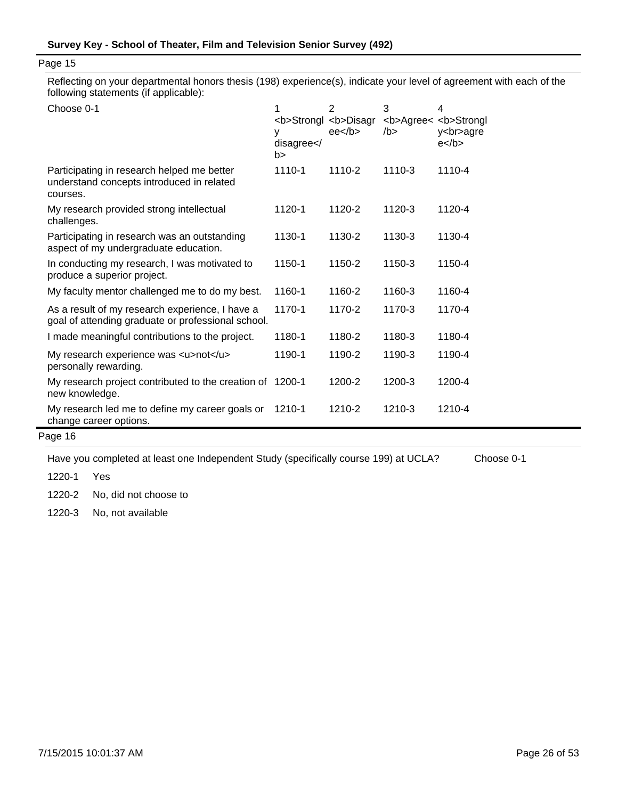Reflecting on your departmental honors thesis (198) experience(s), indicate your level of agreement with each of the following statements (if applicable):

| y<br>disagree <br b> | $\overline{2}$<br>ee <sub>2</sub>                                                                               | 3<br>/b >                    | 4<br><b>Agree&lt; <b>Strongl<br/>y<br/>agre<br/><math>e</math> </b></b> |
|----------------------|-----------------------------------------------------------------------------------------------------------------|------------------------------|-------------------------------------------------------------------------|
| 1110-1               | 1110-2                                                                                                          | 1110-3                       | 1110-4                                                                  |
| 1120-1               | 1120-2                                                                                                          | 1120-3                       | 1120-4                                                                  |
| 1130-1               | 1130-2                                                                                                          | 1130-3                       | 1130-4                                                                  |
| 1150-1               | 1150-2                                                                                                          | 1150-3                       | 1150-4                                                                  |
| 1160-1               | 1160-2                                                                                                          | 1160-3                       | 1160-4                                                                  |
| 1170-1               | 1170-2                                                                                                          | 1170-3                       | 1170-4                                                                  |
| 1180-1               | 1180-2                                                                                                          | 1180-3                       | 1180-4                                                                  |
| 1190-1               | 1190-2                                                                                                          | 1190-3                       | 1190-4                                                                  |
|                      | 1200-2                                                                                                          | 1200-3                       | 1200-4                                                                  |
| 1210-1               | 1210-2                                                                                                          | 1210-3                       | 1210-4                                                                  |
|                      | goal of attending graduate or professional school.<br>My research project contributed to the creation of 1200-1 | <b>Strongl <b>Disagr</b></b> |                                                                         |

# Page 16

Have you completed at least one Independent Study (specifically course 199) at UCLA? Choose 0-1

1220-1 Yes

1220-2 No, did not choose to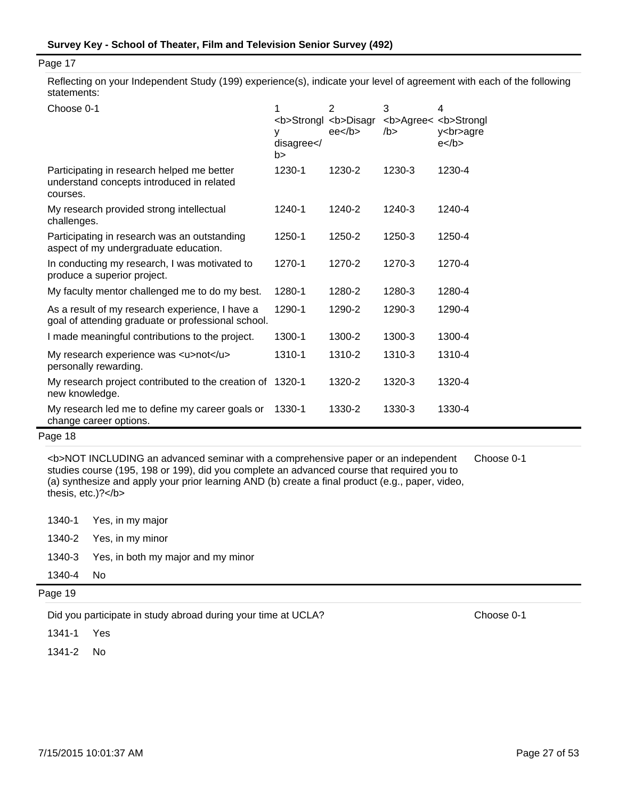Reflecting on your Independent Study (199) experience(s), indicate your level of agreement with each of the following statements:

| Choose 0-1                                                                                            | <b>Strongl <b>Disagr<br/>٧<br/>disagree<!--<br-->b&gt;</b></b> | $\overline{2}$<br>ee <sub>2</sub> | 3<br><b>Agree&lt; <b>Strongl<br/>/b &gt;</b></b> | 4<br>y<br>agre<br>$e$ |
|-------------------------------------------------------------------------------------------------------|----------------------------------------------------------------|-----------------------------------|--------------------------------------------------|-----------------------|
| Participating in research helped me better<br>understand concepts introduced in related<br>courses.   | 1230-1                                                         | 1230-2                            | 1230-3                                           | 1230-4                |
| My research provided strong intellectual<br>challenges.                                               | 1240-1                                                         | 1240-2                            | 1240-3                                           | 1240-4                |
| Participating in research was an outstanding<br>aspect of my undergraduate education.                 | 1250-1                                                         | 1250-2                            | 1250-3                                           | 1250-4                |
| In conducting my research, I was motivated to<br>produce a superior project.                          | 1270-1                                                         | 1270-2                            | 1270-3                                           | 1270-4                |
| My faculty mentor challenged me to do my best.                                                        | 1280-1                                                         | 1280-2                            | 1280-3                                           | 1280-4                |
| As a result of my research experience, I have a<br>goal of attending graduate or professional school. | 1290-1                                                         | 1290-2                            | 1290-3                                           | 1290-4                |
| I made meaningful contributions to the project.                                                       | 1300-1                                                         | 1300-2                            | 1300-3                                           | 1300-4                |
| My research experience was <u>not</u><br>personally rewarding.                                        | 1310-1                                                         | 1310-2                            | 1310-3                                           | 1310-4                |
| My research project contributed to the creation of 1320-1<br>new knowledge.                           |                                                                | 1320-2                            | 1320-3                                           | 1320-4                |
| My research led me to define my career goals or<br>change career options.                             | 1330-1                                                         | 1330-2                            | 1330-3                                           | 1330-4                |

# Page 18

<b>NOT INCLUDING an advanced seminar with a comprehensive paper or an independent studies course (195, 198 or 199), did you complete an advanced course that required you to (a) synthesize and apply your prior learning AND (b) create a final product (e.g., paper, video, thesis, etc.)?</b> Choose 0-1

|           | 1340-1 Yes, in my major                   |
|-----------|-------------------------------------------|
|           | 1340-2 Yes, in my minor                   |
|           | 1340-3 Yes, in both my major and my minor |
| 1340-4 No |                                           |

Page 19

Did you participate in study abroad during your time at UCLA? Choose 0-1

1341-1 Yes

1341-2 No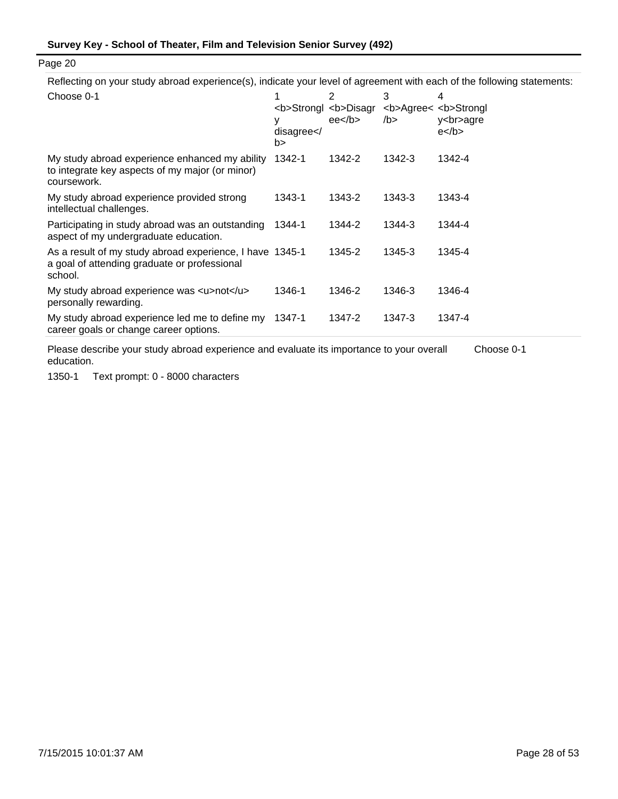Reflecting on your study abroad experience(s), indicate your level of agreement with each of the following statements:

| Choose 0-1                                                                                                          | ٧<br>disagree <br b> | $\overline{2}$<br><b>Strongl <b>Disagr<br/><math>ee&lt;</math>/b&gt;</b></b> | 3<br><b>Agree&lt; <b>Strongl<br/>/b</b></b> | 4<br>y<br>agre<br>$e$ |
|---------------------------------------------------------------------------------------------------------------------|----------------------|------------------------------------------------------------------------------|---------------------------------------------|-----------------------|
| My study abroad experience enhanced my ability<br>to integrate key aspects of my major (or minor)<br>coursework.    | 1342-1               | 1342-2                                                                       | 1342-3                                      | 1342-4                |
| My study abroad experience provided strong<br>intellectual challenges.                                              | 1343-1               | 1343-2                                                                       | 1343-3                                      | 1343-4                |
| Participating in study abroad was an outstanding<br>aspect of my undergraduate education.                           | 1344-1               | 1344-2                                                                       | 1344-3                                      | 1344-4                |
| As a result of my study abroad experience, I have 1345-1<br>a goal of attending graduate or professional<br>school. |                      | 1345-2                                                                       | 1345-3                                      | 1345-4                |
| My study abroad experience was <u>not</u><br>personally rewarding.                                                  | 1346-1               | 1346-2                                                                       | 1346-3                                      | 1346-4                |
| My study abroad experience led me to define my<br>career goals or change career options.                            | 1347-1               | 1347-2                                                                       | 1347-3                                      | 1347-4                |

Please describe your study abroad experience and evaluate its importance to your overall education. Choose 0-1

1350-1 Text prompt: 0 - 8000 characters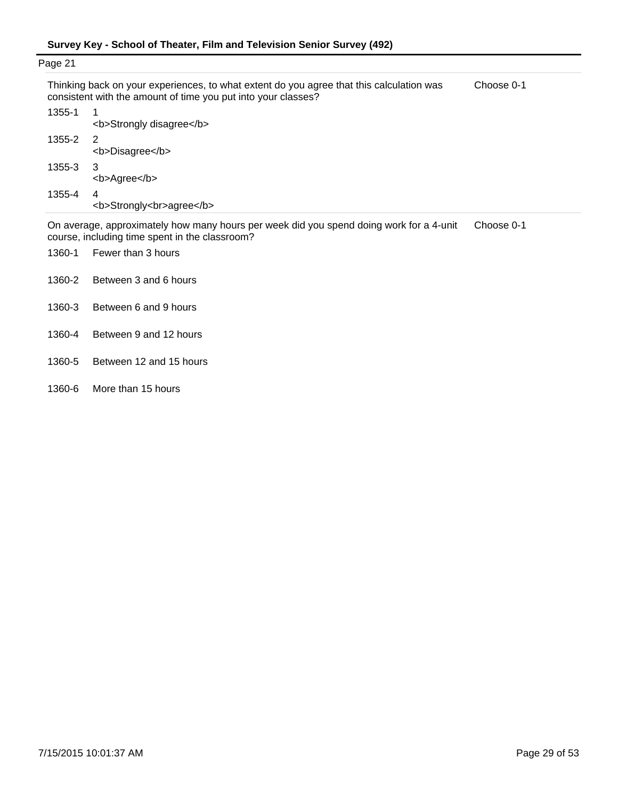| Page 21 |                                                                                                                                                                                                                                       |            |
|---------|---------------------------------------------------------------------------------------------------------------------------------------------------------------------------------------------------------------------------------------|------------|
|         | Thinking back on your experiences, to what extent do you agree that this calculation was<br>consistent with the amount of time you put into your classes?                                                                             | Choose 0-1 |
| 1355-1  | <b>Strongly disagree</b>                                                                                                                                                                                                              |            |
| 1355-2  | $\overline{2}$<br><b>Disagree</b>                                                                                                                                                                                                     |            |
| 1355-3  | - 3<br><b>Agree</b>                                                                                                                                                                                                                   |            |
| 1355-4  | 4<br><b>Strongly<br/>agree</b>                                                                                                                                                                                                        |            |
|         | $\blacksquare$ . The set of the set of the set of the set of the set of the set of the set of the set of the set of the set of the set of the set of the set of the set of the set of the set of the set of the set of the set of the |            |

On average, approximately how many hours per week did you spend doing work for a 4-unit course, including time spent in the classroom? Choose 0-1

- 1360-1 Fewer than 3 hours
- 1360-2 Between 3 and 6 hours
- 1360-3 Between 6 and 9 hours
- 1360-4 Between 9 and 12 hours
- 1360-5 Between 12 and 15 hours
- 1360-6 More than 15 hours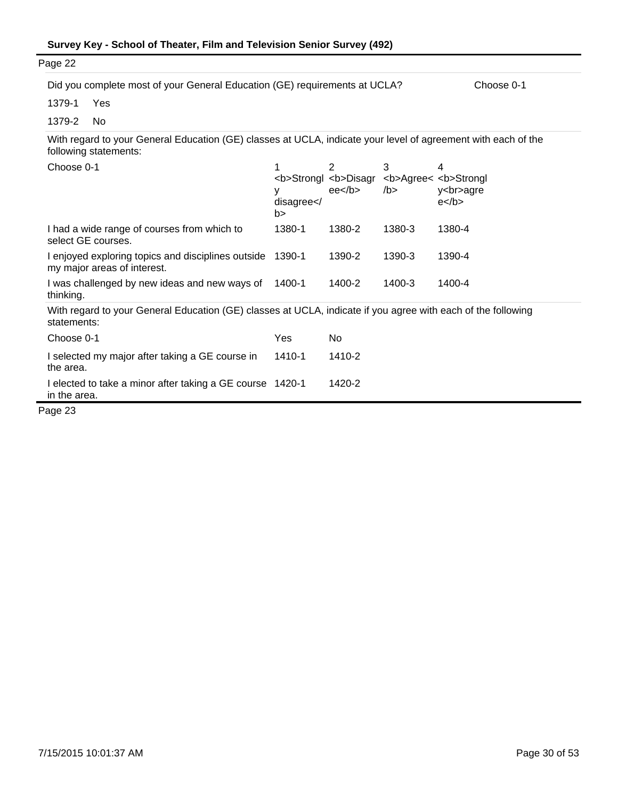| Survey Key - School of Theater, Film and Television Senior Survey (492) |  |  |
|-------------------------------------------------------------------------|--|--|
|-------------------------------------------------------------------------|--|--|

|                            |                                                                                                                                                                         |           | Choose 0-1                                                                                                                                                                                                                                                                                                                                   |
|----------------------------|-------------------------------------------------------------------------------------------------------------------------------------------------------------------------|-----------|----------------------------------------------------------------------------------------------------------------------------------------------------------------------------------------------------------------------------------------------------------------------------------------------------------------------------------------------|
|                            |                                                                                                                                                                         |           |                                                                                                                                                                                                                                                                                                                                              |
|                            |                                                                                                                                                                         |           |                                                                                                                                                                                                                                                                                                                                              |
|                            |                                                                                                                                                                         |           |                                                                                                                                                                                                                                                                                                                                              |
| 1<br>у<br>disagree <br b > | $\overline{2}$<br>ee <sub>2</sub>                                                                                                                                       | 3<br>/b > | 4<br><b>Agree&lt; <b>Strongl<br/>y<br/>agre<br/><math>e</math> </b></b>                                                                                                                                                                                                                                                                      |
| 1380-1                     | 1380-2                                                                                                                                                                  | 1380-3    | 1380-4                                                                                                                                                                                                                                                                                                                                       |
|                            | 1390-2                                                                                                                                                                  | 1390-3    | 1390-4                                                                                                                                                                                                                                                                                                                                       |
| 1400-1                     | 1400-2                                                                                                                                                                  | 1400-3    | 1400-4                                                                                                                                                                                                                                                                                                                                       |
|                            |                                                                                                                                                                         |           |                                                                                                                                                                                                                                                                                                                                              |
| Yes                        | No                                                                                                                                                                      |           |                                                                                                                                                                                                                                                                                                                                              |
| 1410-1                     | 1410-2                                                                                                                                                                  |           |                                                                                                                                                                                                                                                                                                                                              |
|                            | 1420-2                                                                                                                                                                  |           |                                                                                                                                                                                                                                                                                                                                              |
|                            | I enjoyed exploring topics and disciplines outside 1390-1<br>I was challenged by new ideas and new ways of<br>I elected to take a minor after taking a GE course 1420-1 |           | Did you complete most of your General Education (GE) requirements at UCLA?<br>With regard to your General Education (GE) classes at UCLA, indicate your level of agreement with each of the<br><b>Strongl <b>Disagr<br/>With regard to your General Education (GE) classes at UCLA, indicate if you agree with each of the following</b></b> |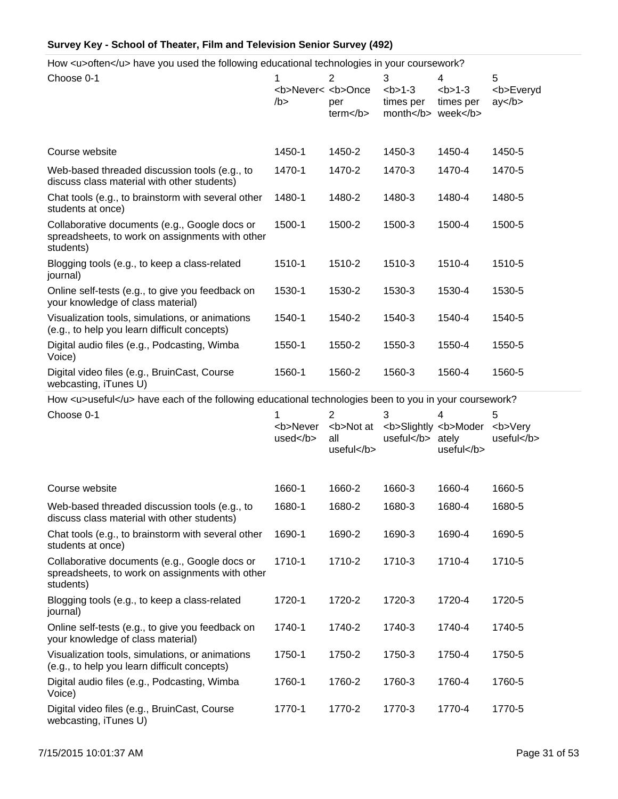How <u>often</u> have you used the following educational technologies in your coursework?

| Choose 0-1                                                                                                    | 1<br><b>Never&lt; <b>Once<br/>/b &gt;</b></b> | $\overline{2}$<br>per<br>term < /b> | 3<br>$b > 1-3$<br>times per<br>month | 4<br>$1-3$<br>times per<br>week | 5<br><b>Everyd<br/>ay </b> |  |
|---------------------------------------------------------------------------------------------------------------|-----------------------------------------------|-------------------------------------|--------------------------------------|---------------------------------|----------------------------|--|
| Course website                                                                                                | 1450-1                                        | 1450-2                              | 1450-3                               | 1450-4                          | 1450-5                     |  |
| Web-based threaded discussion tools (e.g., to<br>discuss class material with other students)                  | 1470-1                                        | 1470-2                              | 1470-3                               | 1470-4                          | 1470-5                     |  |
| Chat tools (e.g., to brainstorm with several other<br>students at once)                                       | 1480-1                                        | 1480-2                              | 1480-3                               | 1480-4                          | 1480-5                     |  |
| Collaborative documents (e.g., Google docs or<br>spreadsheets, to work on assignments with other<br>students) | 1500-1                                        | 1500-2                              | 1500-3                               | 1500-4                          | 1500-5                     |  |
| Blogging tools (e.g., to keep a class-related<br>journal)                                                     | 1510-1                                        | 1510-2                              | 1510-3                               | 1510-4                          | 1510-5                     |  |
| Online self-tests (e.g., to give you feedback on<br>your knowledge of class material)                         | 1530-1                                        | 1530-2                              | 1530-3                               | 1530-4                          | 1530-5                     |  |
| Visualization tools, simulations, or animations<br>(e.g., to help you learn difficult concepts)               | 1540-1                                        | 1540-2                              | 1540-3                               | 1540-4                          | 1540-5                     |  |
| Digital audio files (e.g., Podcasting, Wimba<br>Voice)                                                        | 1550-1                                        | 1550-2                              | 1550-3                               | 1550-4                          | 1550-5                     |  |
| Digital video files (e.g., BruinCast, Course<br>webcasting, iTunes U)                                         | 1560-1                                        | 1560-2                              | 1560-3                               | 1560-4                          | 1560-5                     |  |
| How <u>useful</u> have each of the following educational technologies been to you in your coursework?         |                                               |                                     |                                      |                                 |                            |  |
| Choose 0-1                                                                                                    | <b>Never</b>                                  | $\overline{2}$<br><b>Not at</b>     | 3<br><b>Slightly <b>Moder</b></b>    | 4                               | 5<br><b>Very</b>           |  |
|                                                                                                               | $used<$ /b>                                   | all<br>useful                       | useful                               | ately<br>useful                 | useful                     |  |
| Course website                                                                                                | 1660-1                                        | 1660-2                              | 1660-3                               | 1660-4                          | 1660-5                     |  |
| Web-based threaded discussion tools (e.g., to<br>discuss class material with other students)                  | 1680-1                                        | 1680-2                              | 1680-3                               | 1680-4                          | 1680-5                     |  |
| Chat tools (e.g., to brainstorm with several other<br>students at once)                                       | 1690-1                                        | 1690-2                              | 1690-3                               | 1690-4                          | 1690-5                     |  |
| Collaborative documents (e.g., Google docs or<br>spreadsheets, to work on assignments with other<br>students) | 1710-1                                        | 1710-2                              | 1710-3                               | 1710-4                          | 1710-5                     |  |
| Blogging tools (e.g., to keep a class-related<br>journal)                                                     | 1720-1                                        | 1720-2                              | 1720-3                               | 1720-4                          | 1720-5                     |  |
| Online self-tests (e.g., to give you feedback on<br>your knowledge of class material)                         | 1740-1                                        | 1740-2                              | 1740-3                               | 1740-4                          | 1740-5                     |  |
| Visualization tools, simulations, or animations<br>(e.g., to help you learn difficult concepts)               | 1750-1                                        | 1750-2                              | 1750-3                               | 1750-4                          | 1750-5                     |  |
| Digital audio files (e.g., Podcasting, Wimba<br>Voice)                                                        | 1760-1                                        | 1760-2                              | 1760-3                               | 1760-4                          | 1760-5                     |  |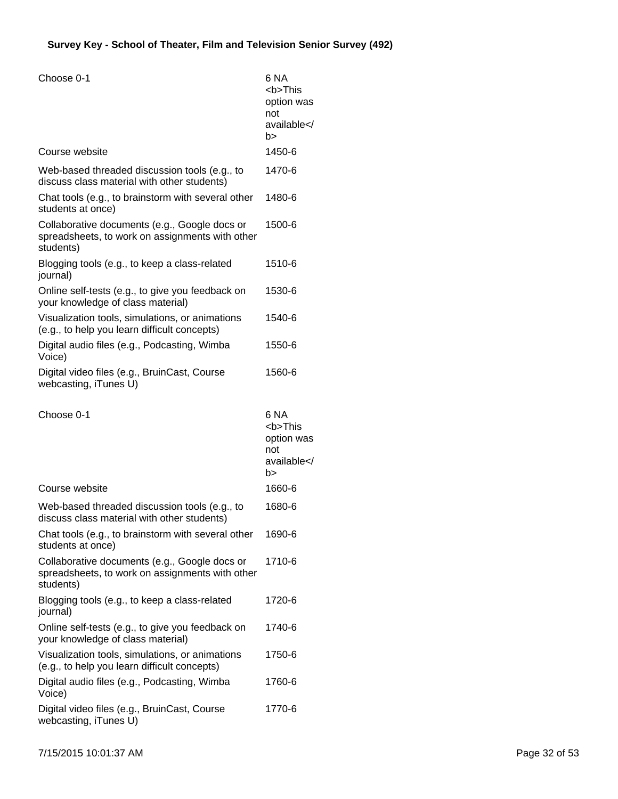| Choose 0-1                                                                                                    | 6 NA<br><b>This<br/>option was<br/>not<br/>available<!--<br-->b&gt;</b> |
|---------------------------------------------------------------------------------------------------------------|-------------------------------------------------------------------------|
| Course website                                                                                                | 1450-6                                                                  |
| Web-based threaded discussion tools (e.g., to<br>discuss class material with other students)                  | 1470-6                                                                  |
| Chat tools (e.g., to brainstorm with several other<br>students at once)                                       | 1480-6                                                                  |
| Collaborative documents (e.g., Google docs or<br>spreadsheets, to work on assignments with other<br>students) | 1500-6                                                                  |
| Blogging tools (e.g., to keep a class-related<br>journal)                                                     | 1510-6                                                                  |
| Online self-tests (e.g., to give you feedback on<br>your knowledge of class material)                         | 1530-6                                                                  |
| Visualization tools, simulations, or animations<br>(e.g., to help you learn difficult concepts)               | 1540-6                                                                  |
| Digital audio files (e.g., Podcasting, Wimba<br>Voice)                                                        | 1550-6                                                                  |
| Digital video files (e.g., BruinCast, Course<br>webcasting, iTunes U)                                         | 1560-6                                                                  |
|                                                                                                               |                                                                         |
| Choose 0-1                                                                                                    | 6 NA<br><b>This<br/>option was<br/>not<br/>available<!--<br-->b&gt;</b> |
| Course website                                                                                                | 1660-6                                                                  |
| Web-based threaded discussion tools (e.g., to<br>discuss class material with other students)                  | 1680-6                                                                  |
| Chat tools (e.g., to brainstorm with several other<br>students at once)                                       | 1690-6                                                                  |
| Collaborative documents (e.g., Google docs or<br>spreadsheets, to work on assignments with other<br>students) | 1710-6                                                                  |
| Blogging tools (e.g., to keep a class-related<br>journal)                                                     | 1720-6                                                                  |
| Online self-tests (e.g., to give you feedback on<br>your knowledge of class material)                         | 1740-6                                                                  |
| Visualization tools, simulations, or animations<br>(e.g., to help you learn difficult concepts)               | 1750-6                                                                  |
| Digital audio files (e.g., Podcasting, Wimba<br>Voice)                                                        | 1760-6                                                                  |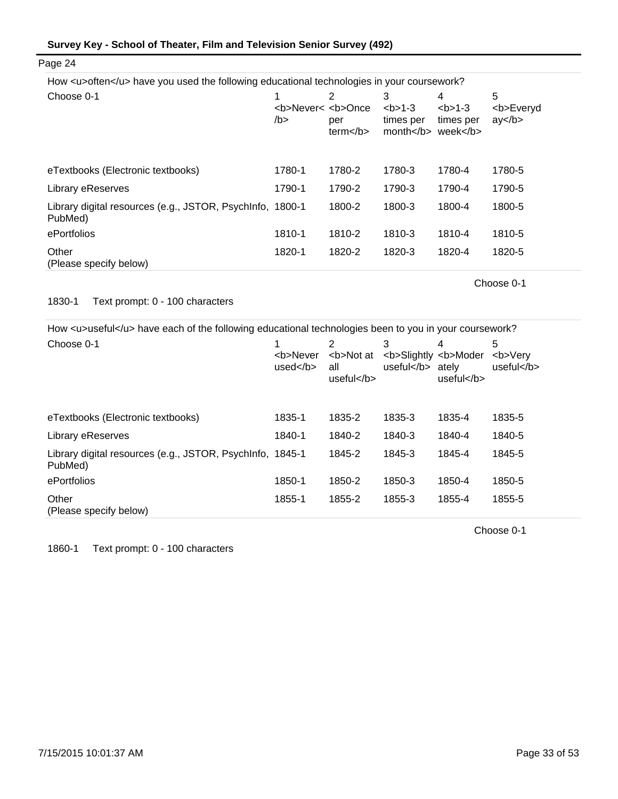| Survey Key - School of Theater, Film and Television Senior Survey (492) |  |  |
|-------------------------------------------------------------------------|--|--|
|-------------------------------------------------------------------------|--|--|

| How <u>often</u> have you used the following educational technologies in your coursework? |                                          |                                                                                                                                                                                                |                                                                                                                                                         |                                           |                            |
|-------------------------------------------------------------------------------------------|------------------------------------------|------------------------------------------------------------------------------------------------------------------------------------------------------------------------------------------------|---------------------------------------------------------------------------------------------------------------------------------------------------------|-------------------------------------------|----------------------------|
| Choose 0-1                                                                                | <b>Never&lt; <b>Once<br/>/b &gt;</b></b> | 2<br>per<br>term <th>3<br/><math>2 - 3</math><br/>times per<br/>month <th>4<br/><math>2 - 3</math><br/>times per<br/>week&lt;<math>/b</math>&gt;</th><th>5<br/><b>Everyd<br/>ay </b></th></th> | 3<br>$2 - 3$<br>times per<br>month <th>4<br/><math>2 - 3</math><br/>times per<br/>week&lt;<math>/b</math>&gt;</th> <th>5<br/><b>Everyd<br/>ay </b></th> | 4<br>$2 - 3$<br>times per<br>week< $/b$ > | 5<br><b>Everyd<br/>ay </b> |
| eTextbooks (Electronic textbooks)                                                         | 1780-1                                   | 1780-2                                                                                                                                                                                         | 1780-3                                                                                                                                                  | 1780-4                                    | 1780-5                     |
| Library eReserves                                                                         | 1790-1                                   | 1790-2                                                                                                                                                                                         | 1790-3                                                                                                                                                  | 1790-4                                    | 1790-5                     |
| Library digital resources (e.g., JSTOR, PsychInfo, 1800-1<br>PubMed)                      |                                          | 1800-2                                                                                                                                                                                         | 1800-3                                                                                                                                                  | 1800-4                                    | 1800-5                     |
| ePortfolios                                                                               | 1810-1                                   | 1810-2                                                                                                                                                                                         | 1810-3                                                                                                                                                  | 1810-4                                    | 1810-5                     |
| Other<br>(Please specify below)                                                           | 1820-1                                   | 1820-2                                                                                                                                                                                         | 1820-3                                                                                                                                                  | 1820-4                                    | 1820-5                     |

Choose 0-1

## 1830-1 Text prompt: 0 - 100 characters

Page 24

How <u>useful</u> have each of the following educational technologies been to you in your coursework?

| Choose 0-1                                                           | <b>Never<br/>used<math>&lt;</math>/b<math>&gt;</math></b> | 2<br><b>Not at<br/>all<br/>useful</b> | 3<br><b>Slightly <b>Moder<br/>useful</b></b> | atelv<br>useful $<$ /b $>$ | 5<br><b>Verv<br/>useful</b> |
|----------------------------------------------------------------------|-----------------------------------------------------------|---------------------------------------|----------------------------------------------|----------------------------|-----------------------------|
| eTextbooks (Electronic textbooks)                                    | 1835-1                                                    | 1835-2                                | 1835-3                                       | 1835-4                     | 1835-5                      |
| Library eReserves                                                    | 1840-1                                                    | 1840-2                                | 1840-3                                       | 1840-4                     | 1840-5                      |
| Library digital resources (e.g., JSTOR, PsychInfo, 1845-1<br>PubMed) |                                                           | 1845-2                                | 1845-3                                       | 1845-4                     | 1845-5                      |
| ePortfolios                                                          | 1850-1                                                    | 1850-2                                | 1850-3                                       | 1850-4                     | 1850-5                      |
| Other<br>(Please specify below)                                      | 1855-1                                                    | 1855-2                                | 1855-3                                       | 1855-4                     | 1855-5                      |

Choose 0-1

1860-1 Text prompt: 0 - 100 characters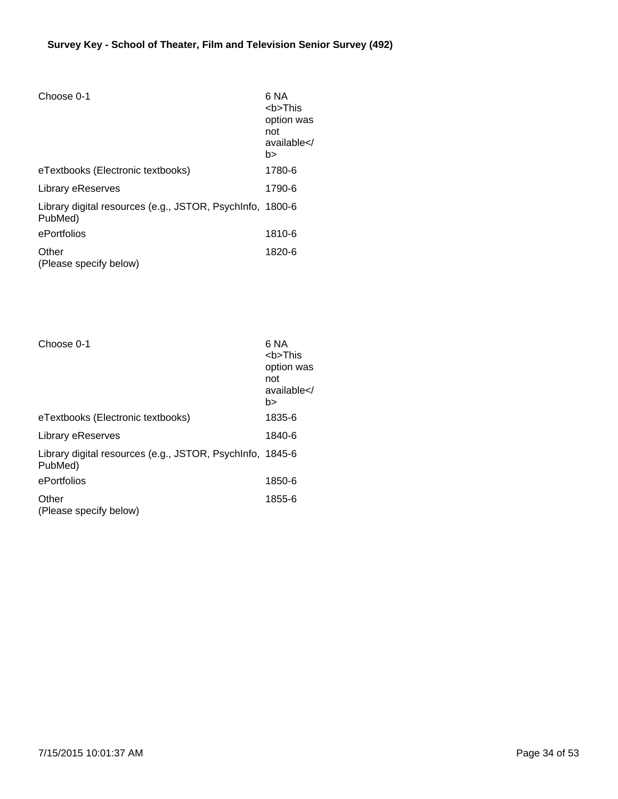| Choose 0-1                                                           | 6 NA<br><b>This<br/>option was<br/>not<br/>available<!--<br-->b&gt;</b> |
|----------------------------------------------------------------------|-------------------------------------------------------------------------|
| eTextbooks (Electronic textbooks)                                    | 1780-6                                                                  |
| Library eReserves                                                    | 1790-6                                                                  |
| Library digital resources (e.g., JSTOR, PsychInfo, 1800-6<br>PubMed) |                                                                         |
| ePortfolios                                                          | 1810-6                                                                  |
| Other<br>(Please specify below)                                      | 1820-6                                                                  |

| Choose 0-1                                                           | 6 NA<br><b>This<br/>option was<br/>not<br/>available<!--<br-->b&gt;</b> |
|----------------------------------------------------------------------|-------------------------------------------------------------------------|
| eTextbooks (Electronic textbooks)                                    | 1835-6                                                                  |
| Library eReserves                                                    | 1840-6                                                                  |
| Library digital resources (e.g., JSTOR, PsychInfo, 1845-6<br>PubMed) |                                                                         |
| ePortfolios                                                          | 1850-6                                                                  |
| Other<br>(Please specify below)                                      | 1855-6                                                                  |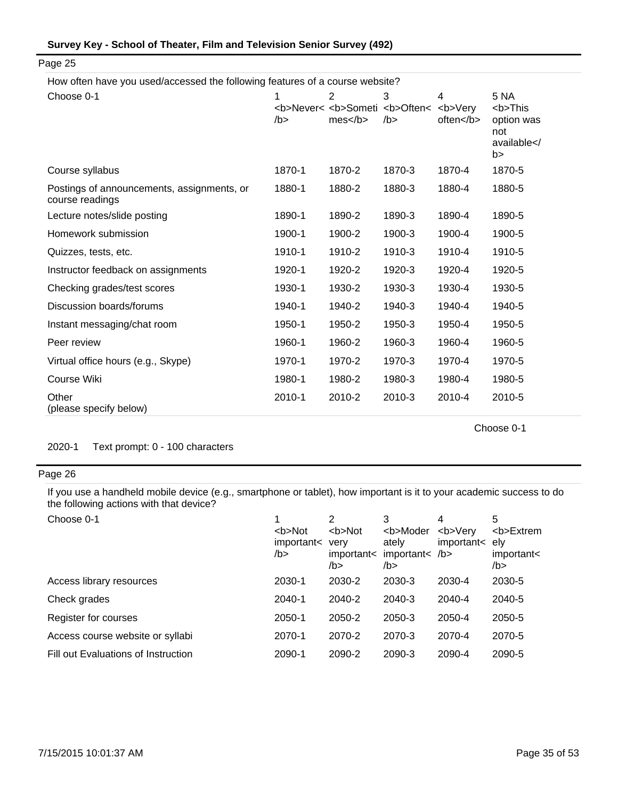| Survey Key - School of Theater, Film and Television Senior Survey (492) |  |  |
|-------------------------------------------------------------------------|--|--|
|-------------------------------------------------------------------------|--|--|

How often have you used/accessed the following features of a course website?

| Choose 0-1                                                    | 1      | $\overline{2}$                                                       | 3      | 4      | <b>5 NA</b>                                                     |
|---------------------------------------------------------------|--------|----------------------------------------------------------------------|--------|--------|-----------------------------------------------------------------|
|                                                               | $/b$ > | <b>Never&lt; <b>Someti <b>Often&lt; <b>Very<br/>mes </b></b></b></b> | $/b$ > | often  | <b>This<br/>option was<br/>not<br/>available<!--<br-->b&gt;</b> |
| Course syllabus                                               | 1870-1 | 1870-2                                                               | 1870-3 | 1870-4 | 1870-5                                                          |
| Postings of announcements, assignments, or<br>course readings | 1880-1 | 1880-2                                                               | 1880-3 | 1880-4 | 1880-5                                                          |
| Lecture notes/slide posting                                   | 1890-1 | 1890-2                                                               | 1890-3 | 1890-4 | 1890-5                                                          |
| Homework submission                                           | 1900-1 | 1900-2                                                               | 1900-3 | 1900-4 | 1900-5                                                          |
| Quizzes, tests, etc.                                          | 1910-1 | 1910-2                                                               | 1910-3 | 1910-4 | 1910-5                                                          |
| Instructor feedback on assignments                            | 1920-1 | 1920-2                                                               | 1920-3 | 1920-4 | 1920-5                                                          |
| Checking grades/test scores                                   | 1930-1 | 1930-2                                                               | 1930-3 | 1930-4 | 1930-5                                                          |
| Discussion boards/forums                                      | 1940-1 | 1940-2                                                               | 1940-3 | 1940-4 | 1940-5                                                          |
| Instant messaging/chat room                                   | 1950-1 | 1950-2                                                               | 1950-3 | 1950-4 | 1950-5                                                          |
| Peer review                                                   | 1960-1 | 1960-2                                                               | 1960-3 | 1960-4 | 1960-5                                                          |
| Virtual office hours (e.g., Skype)                            | 1970-1 | 1970-2                                                               | 1970-3 | 1970-4 | 1970-5                                                          |
| Course Wiki                                                   | 1980-1 | 1980-2                                                               | 1980-3 | 1980-4 | 1980-5                                                          |
| Other<br>(please specify below)                               | 2010-1 | 2010-2                                                               | 2010-3 | 2010-4 | 2010-5                                                          |

Choose 0-1

2020-1 Text prompt: 0 - 100 characters

## Page 26

If you use a handheld mobile device (e.g., smartphone or tablet), how important is it to your academic success to do the following actions with that device?

| Choose 0-1                          | <b>Not<br/>important&lt;<br/>/b &gt;</b> | 2<br><b>Not<br/>verv<br/>important&lt;<br/>/b&gt;</b> | <b>Moder<br/>ately<br/>important<math>&lt;</math> /b&gt;<br/>/b&gt;</b> | 4<br><b>Very<br/>important&lt;</b> | 5<br><b>Extrem<br/>elv<br/>important&lt;<br/>/b&gt;</b> |
|-------------------------------------|------------------------------------------|-------------------------------------------------------|-------------------------------------------------------------------------|------------------------------------|---------------------------------------------------------|
| Access library resources            | 2030-1                                   | 2030-2                                                | 2030-3                                                                  | 2030-4                             | 2030-5                                                  |
| Check grades                        | 2040-1                                   | 2040-2                                                | 2040-3                                                                  | 2040-4                             | 2040-5                                                  |
| Register for courses                | 2050-1                                   | 2050-2                                                | 2050-3                                                                  | 2050-4                             | 2050-5                                                  |
| Access course website or syllabi    | 2070-1                                   | 2070-2                                                | 2070-3                                                                  | 2070-4                             | 2070-5                                                  |
| Fill out Evaluations of Instruction | 2090-1                                   | 2090-2                                                | 2090-3                                                                  | 2090-4                             | 2090-5                                                  |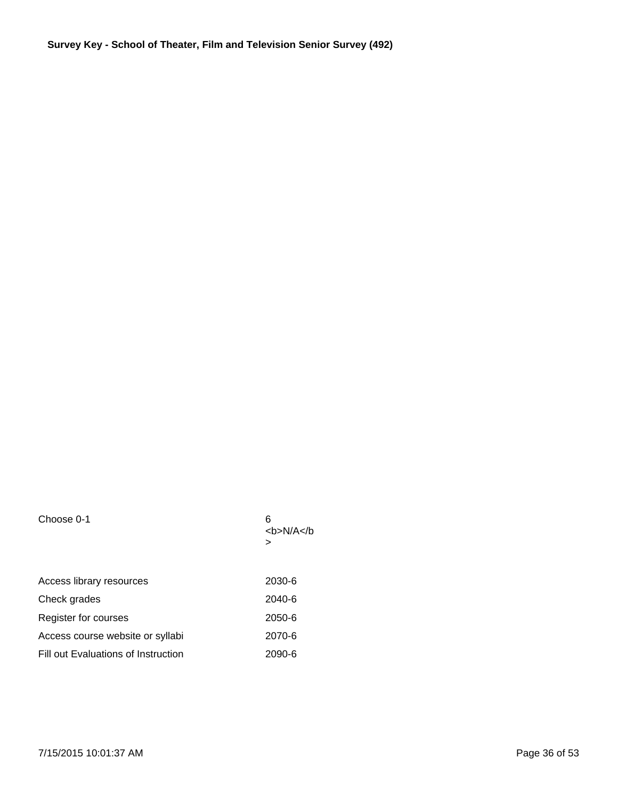| Choose 0-1                          | 6<br><b>N/A</b> |
|-------------------------------------|-----------------|
|                                     | >               |
| Access library resources            | 2030-6          |
| Check grades                        | 2040-6          |
| Register for courses                | 2050-6          |
| Access course website or syllabi    | 2070-6          |
| Fill out Evaluations of Instruction | 2090-6          |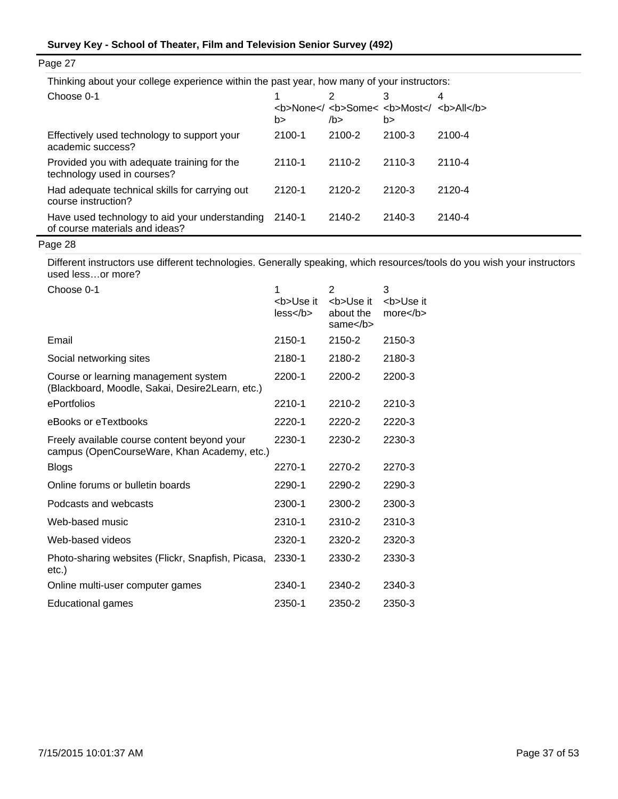| Thinking about your college experience within the past year, how many of your instructors: |            |                                                                         |        |        |  |  |
|--------------------------------------------------------------------------------------------|------------|-------------------------------------------------------------------------|--------|--------|--|--|
| Choose 0-1                                                                                 | b>         | <b>None<!-- <b-->Some&lt; <b>Most<!-- <b-->All</b><!--<br-->/b &gt;</b> | b >    | 4      |  |  |
| Effectively used technology to support your<br>academic success?                           | 2100-1     | 2100-2                                                                  | 2100-3 | 2100-4 |  |  |
| Provided you with adequate training for the<br>technology used in courses?                 | 2110-1     | 2110-2                                                                  | 2110-3 | 2110-4 |  |  |
| Had adequate technical skills for carrying out<br>course instruction?                      | $2120 - 1$ | 2120-2                                                                  | 2120-3 | 2120-4 |  |  |
| Have used technology to aid your understanding<br>of course materials and ideas?           | 2140-1     | 2140-2                                                                  | 2140-3 | 2140-4 |  |  |
|                                                                                            |            |                                                                         |        |        |  |  |

Page 27

Different instructors use different technologies. Generally speaking, which resources/tools do you wish your instructors used less…or more?

| Choose 0-1                                                                                 | 1                        | 2                           | 3                       |
|--------------------------------------------------------------------------------------------|--------------------------|-----------------------------|-------------------------|
|                                                                                            | <b>Use it<br/>less/b</b> | <b>Use it<br/>about the</b> | <b>Use it<br/>more </b> |
|                                                                                            |                          | same $<$ /b $>$             |                         |
| Email                                                                                      | 2150-1                   | 2150-2                      | 2150-3                  |
| Social networking sites                                                                    | 2180-1                   | 2180-2                      | 2180-3                  |
| Course or learning management system<br>(Blackboard, Moodle, Sakai, Desire2Learn, etc.)    | 2200-1                   | 2200-2                      | 2200-3                  |
| ePortfolios                                                                                | 2210-1                   | 2210-2                      | 2210-3                  |
| eBooks or eTextbooks                                                                       | 2220-1                   | 2220-2                      | 2220-3                  |
| Freely available course content beyond your<br>campus (OpenCourseWare, Khan Academy, etc.) | 2230-1                   | 2230-2                      | 2230-3                  |
| <b>Blogs</b>                                                                               | 2270-1                   | 2270-2                      | 2270-3                  |
| Online forums or bulletin boards                                                           | 2290-1                   | 2290-2                      | 2290-3                  |
| Podcasts and webcasts                                                                      | 2300-1                   | 2300-2                      | 2300-3                  |
| Web-based music                                                                            | 2310-1                   | 2310-2                      | 2310-3                  |
| Web-based videos                                                                           | 2320-1                   | 2320-2                      | 2320-3                  |
| Photo-sharing websites (Flickr, Snapfish, Picasa,<br>etc.)                                 | 2330-1                   | 2330-2                      | 2330-3                  |
| Online multi-user computer games                                                           | 2340-1                   | 2340-2                      | 2340-3                  |
| <b>Educational games</b>                                                                   | 2350-1                   | 2350-2                      | 2350-3                  |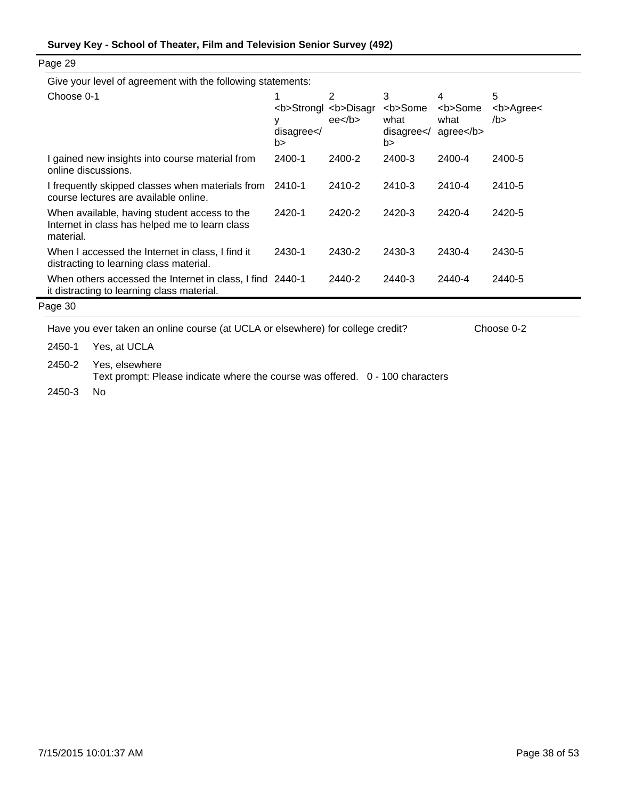| Give your level of agreement with the following statements:                                                 |                         |                                                                 |                                                         |                                                                         |                              |
|-------------------------------------------------------------------------------------------------------------|-------------------------|-----------------------------------------------------------------|---------------------------------------------------------|-------------------------------------------------------------------------|------------------------------|
| Choose 0-1                                                                                                  | у<br>disagree < /<br>b> | 2<br><b>Strongl <b>Disagr<br/><math>ee&lt;</math>/b&gt;</b></b> | 3<br><b>Some<br/>what<br/>disagree &lt; /<br/>b&gt;</b> | 4<br><b>Some<br/>what<br/><math>ag</math>ree<math>&lt;</math>/b&gt;</b> | 5<br><b>Agree&lt;<br/>/b</b> |
| I gained new insights into course material from<br>online discussions.                                      | 2400-1                  | 2400-2                                                          | 2400-3                                                  | 2400-4                                                                  | 2400-5                       |
| I frequently skipped classes when materials from<br>course lectures are available online.                   | 2410-1                  | 2410-2                                                          | 2410-3                                                  | 2410-4                                                                  | 2410-5                       |
| When available, having student access to the<br>Internet in class has helped me to learn class<br>material. | 2420-1                  | 2420-2                                                          | 2420-3                                                  | 2420-4                                                                  | 2420-5                       |
| When I accessed the Internet in class, I find it<br>distracting to learning class material.                 | 2430-1                  | 2430-2                                                          | 2430-3                                                  | 2430-4                                                                  | 2430-5                       |
| When others accessed the Internet in class, I find 2440-1<br>it distracting to learning class material.     |                         | 2440-2                                                          | 2440-3                                                  | 2440-4                                                                  | 2440-5                       |
| Page 30                                                                                                     |                         |                                                                 |                                                         |                                                                         |                              |

Have you ever taken an online course (at UCLA or elsewhere) for college credit? Choose 0-2

2450-1 Yes, at UCLA

2450-2 Yes, elsewhere

Text prompt: Please indicate where the course was offered. 0 - 100 characters

2450-3 No

Page 29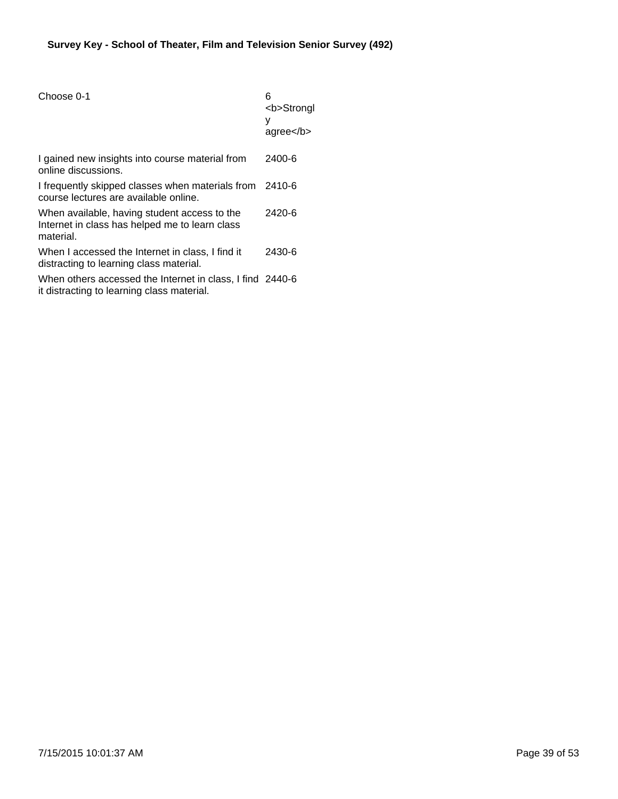| Choose 0-1                                                                                                  | 6<br><b>Strongl<br/>у<br/><math>a</math>gree<math>&lt;</math>/b<math>&gt;</math></b> |
|-------------------------------------------------------------------------------------------------------------|--------------------------------------------------------------------------------------|
| I gained new insights into course material from<br>online discussions.                                      | 2400-6                                                                               |
| I frequently skipped classes when materials from 2410-6<br>course lectures are available online.            |                                                                                      |
| When available, having student access to the<br>Internet in class has helped me to learn class<br>material. | 2420-6                                                                               |
| When I accessed the Internet in class, I find it<br>distracting to learning class material.                 | 2430-6                                                                               |
| When others accessed the Internet in class, I find 2440-6<br>it distracting to learning class material.     |                                                                                      |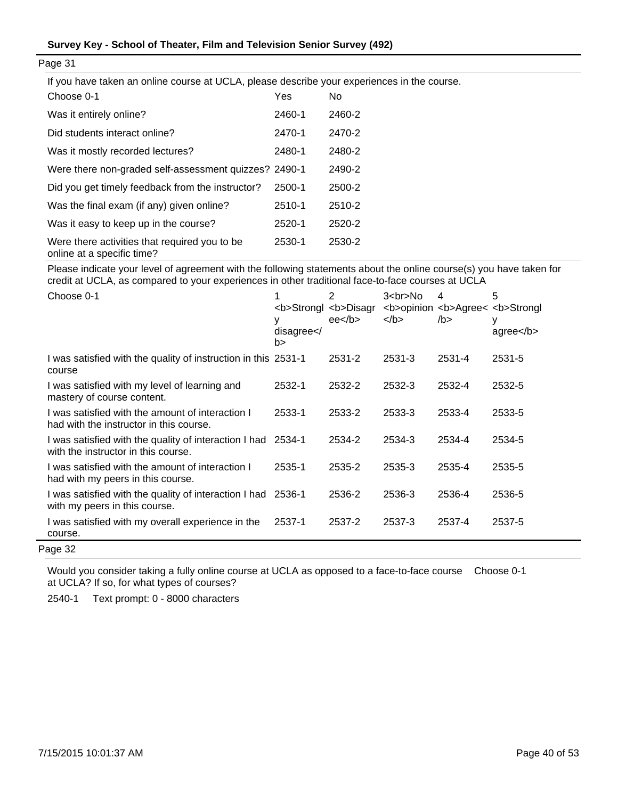If you have taken an online course at UCLA, please describe your experiences in the course.

| Choose 0-1                                                                  | Yes    | No     |
|-----------------------------------------------------------------------------|--------|--------|
| Was it entirely online?                                                     | 2460-1 | 2460-2 |
| Did students interact online?                                               | 2470-1 | 2470-2 |
| Was it mostly recorded lectures?                                            | 2480-1 | 2480-2 |
| Were there non-graded self-assessment quizzes? 2490-1                       |        | 2490-2 |
| Did you get timely feedback from the instructor?                            | 2500-1 | 2500-2 |
| Was the final exam (if any) given online?                                   | 2510-1 | 2510-2 |
| Was it easy to keep up in the course?                                       | 2520-1 | 2520-2 |
| Were there activities that required you to be<br>online at a specific time? | 2530-1 | 2530-2 |

Please indicate your level of agreement with the following statements about the online course(s) you have taken for credit at UCLA, as compared to your experiences in other traditional face-to-face courses at UCLA

| Choose 0-1                                                                                   | <b>Strongl <b>Disagr<br/>у<br/>disagree &lt; /<br/>b&gt;</b></b> | 2<br>ee <sub>2</sub> | $3 < b$ r>No<br>$<$ /b> | 4<br><b>opinion <b>Agree&lt; <b>Strongl<br/>/b</b></b></b> | 5<br>у<br>$a$ gree $<$ /b $>$ |
|----------------------------------------------------------------------------------------------|------------------------------------------------------------------|----------------------|-------------------------|------------------------------------------------------------|-------------------------------|
| I was satisfied with the quality of instruction in this 2531-1<br>course                     |                                                                  | 2531-2               | 2531-3                  | 2531-4                                                     | 2531-5                        |
| I was satisfied with my level of learning and<br>mastery of course content.                  | 2532-1                                                           | 2532-2               | 2532-3                  | 2532-4                                                     | 2532-5                        |
| I was satisfied with the amount of interaction I<br>had with the instructor in this course.  | 2533-1                                                           | 2533-2               | 2533-3                  | 2533-4                                                     | 2533-5                        |
| I was satisfied with the quality of interaction I had<br>with the instructor in this course. | 2534-1                                                           | 2534-2               | 2534-3                  | 2534-4                                                     | 2534-5                        |
| I was satisfied with the amount of interaction I<br>had with my peers in this course.        | 2535-1                                                           | 2535-2               | 2535-3                  | 2535-4                                                     | 2535-5                        |
| I was satisfied with the quality of interaction I had<br>with my peers in this course.       | 2536-1                                                           | 2536-2               | 2536-3                  | 2536-4                                                     | 2536-5                        |
| I was satisfied with my overall experience in the<br>course.                                 | 2537-1                                                           | 2537-2               | 2537-3                  | 2537-4                                                     | 2537-5                        |

Page 32

Would you consider taking a fully online course at UCLA as opposed to a face-to-face course Choose 0-1 at UCLA? If so, for what types of courses?

2540-1 Text prompt: 0 - 8000 characters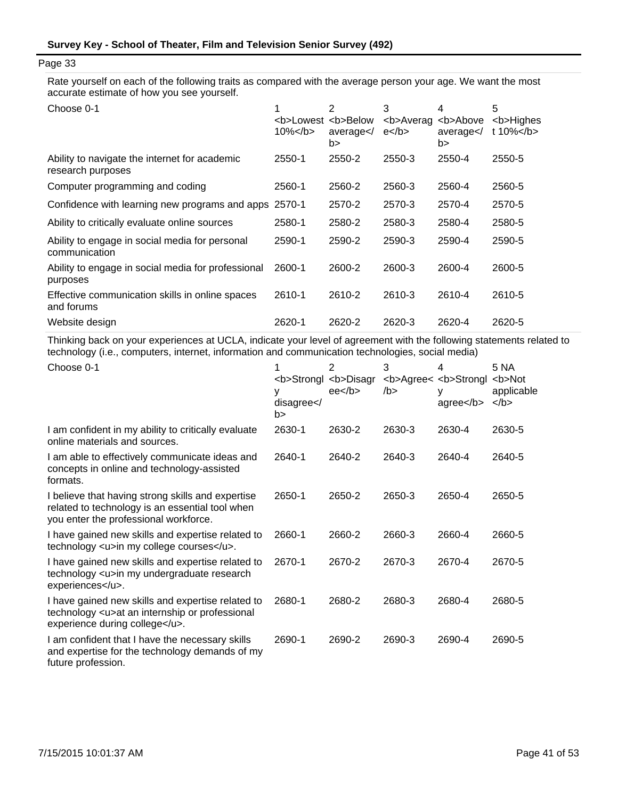Rate yourself on each of the following traits as compared with the average person your age. We want the most accurate estimate of how you see yourself.

| Choose 0-1                                                         | <b>Lowest <b>Below<br/><math>10\%</math> </b></b> | 2<br>average<br>b> | 3<br><b>Averag<br/><math>e</math> </b> | 4<br><b>Above<br/>average<br/>b&gt;</b> | 5<br><b>Highes<br/>t 10%<math>&lt;</math>/b<math>&gt;</math></b> |
|--------------------------------------------------------------------|---------------------------------------------------|--------------------|----------------------------------------|-----------------------------------------|------------------------------------------------------------------|
| Ability to navigate the internet for academic<br>research purposes | 2550-1                                            | 2550-2             | 2550-3                                 | 2550-4                                  | 2550-5                                                           |
| Computer programming and coding                                    | 2560-1                                            | 2560-2             | 2560-3                                 | 2560-4                                  | 2560-5                                                           |
| Confidence with learning new programs and apps                     | 2570-1                                            | 2570-2             | 2570-3                                 | 2570-4                                  | 2570-5                                                           |
| Ability to critically evaluate online sources                      | 2580-1                                            | 2580-2             | 2580-3                                 | 2580-4                                  | 2580-5                                                           |
| Ability to engage in social media for personal<br>communication    | 2590-1                                            | 2590-2             | 2590-3                                 | 2590-4                                  | 2590-5                                                           |
| Ability to engage in social media for professional<br>purposes     | 2600-1                                            | 2600-2             | 2600-3                                 | 2600-4                                  | 2600-5                                                           |
| Effective communication skills in online spaces<br>and forums      | 2610-1                                            | 2610-2             | 2610-3                                 | 2610-4                                  | 2610-5                                                           |
| Website design                                                     | 2620-1                                            | 2620-2             | 2620-3                                 | 2620-4                                  | 2620-5                                                           |

Thinking back on your experiences at UCLA, indicate your level of agreement with the following statements related to technology (i.e., computers, internet, information and communication technologies, social media)

| Choose 0-1                                                                                                                                    | <b>Strongl <b>Disagr<br/>٧<br/>disagree &lt; /<br/>b&gt;</b></b> | 2<br>ee <sub>2</sub> | 3<br>/b > | 4<br><b>Agree&lt; <b>Strongl<br/><math>ag</math>ree<math>&lt;</math>/b<math>&gt;</math></b></b> | 5 NA<br><b>Not<br/>applicable<br/><math>&lt;</math>/b&gt;</b> |
|-----------------------------------------------------------------------------------------------------------------------------------------------|------------------------------------------------------------------|----------------------|-----------|-------------------------------------------------------------------------------------------------|---------------------------------------------------------------|
| I am confident in my ability to critically evaluate<br>online materials and sources.                                                          | 2630-1                                                           | 2630-2               | 2630-3    | 2630-4                                                                                          | 2630-5                                                        |
| I am able to effectively communicate ideas and<br>concepts in online and technology-assisted<br>formats.                                      | 2640-1                                                           | 2640-2               | 2640-3    | 2640-4                                                                                          | 2640-5                                                        |
| I believe that having strong skills and expertise<br>related to technology is an essential tool when<br>you enter the professional workforce. | 2650-1                                                           | 2650-2               | 2650-3    | 2650-4                                                                                          | 2650-5                                                        |
| I have gained new skills and expertise related to<br>technology <u>in my college courses</u> .                                                | 2660-1                                                           | 2660-2               | 2660-3    | 2660-4                                                                                          | 2660-5                                                        |
| I have gained new skills and expertise related to<br>technology <u>in my undergraduate research<br/>experiences</u> .                         | 2670-1                                                           | 2670-2               | 2670-3    | 2670-4                                                                                          | 2670-5                                                        |
| I have gained new skills and expertise related to<br>technology <u>at an internship or professional<br/>experience during college</u> .       | 2680-1                                                           | 2680-2               | 2680-3    | 2680-4                                                                                          | 2680-5                                                        |
| I am confident that I have the necessary skills<br>and expertise for the technology demands of my<br>future profession.                       | 2690-1                                                           | 2690-2               | 2690-3    | 2690-4                                                                                          | 2690-5                                                        |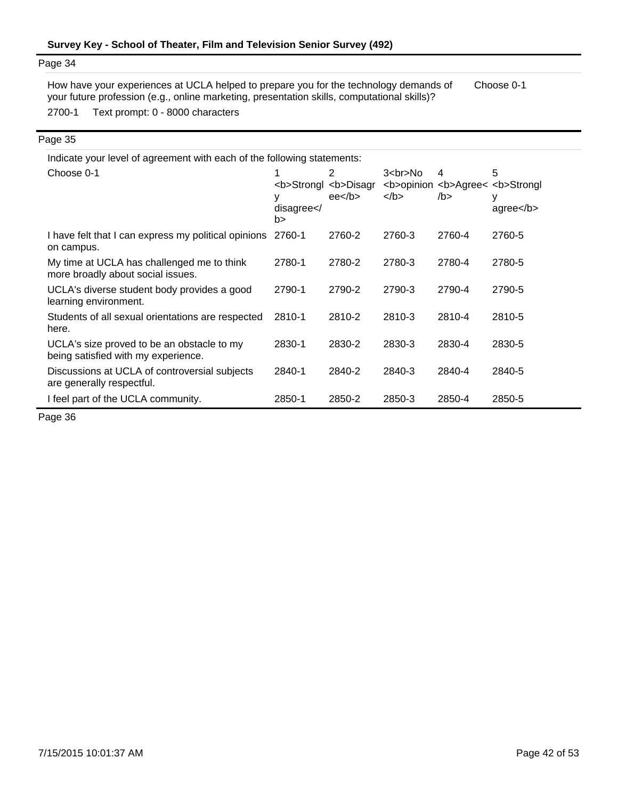2700-1 Text prompt: 0 - 8000 characters How have your experiences at UCLA helped to prepare you for the technology demands of your future profession (e.g., online marketing, presentation skills, computational skills)? Choose 0-1

#### Page 35

| Indicate your level of agreement with each of the following statements:           |                    |                                                      |                      |           |                                                               |  |  |
|-----------------------------------------------------------------------------------|--------------------|------------------------------------------------------|----------------------|-----------|---------------------------------------------------------------|--|--|
| Choose 0-1                                                                        | disagree < /<br>b> | 2<br><b>Strongl <b>Disagr<br/>ee<sub>2</sub></b></b> | $3$<br>No<br>$<$ /b> | 4<br>/b > | 5<br><b>opinion <b>Agree&lt; <b>Strongl<br/>agree</b></b></b> |  |  |
| I have felt that I can express my political opinions<br>on campus.                | 2760-1             | 2760-2                                               | 2760-3               | 2760-4    | 2760-5                                                        |  |  |
| My time at UCLA has challenged me to think<br>more broadly about social issues.   | 2780-1             | 2780-2                                               | 2780-3               | 2780-4    | 2780-5                                                        |  |  |
| UCLA's diverse student body provides a good<br>learning environment.              | 2790-1             | 2790-2                                               | 2790-3               | 2790-4    | 2790-5                                                        |  |  |
| Students of all sexual orientations are respected<br>here.                        | 2810-1             | 2810-2                                               | 2810-3               | 2810-4    | 2810-5                                                        |  |  |
| UCLA's size proved to be an obstacle to my<br>being satisfied with my experience. | 2830-1             | 2830-2                                               | 2830-3               | 2830-4    | 2830-5                                                        |  |  |
| Discussions at UCLA of controversial subjects<br>are generally respectful.        | 2840-1             | 2840-2                                               | 2840-3               | 2840-4    | 2840-5                                                        |  |  |
| I feel part of the UCLA community.                                                | 2850-1             | 2850-2                                               | 2850-3               | 2850-4    | 2850-5                                                        |  |  |

Page 36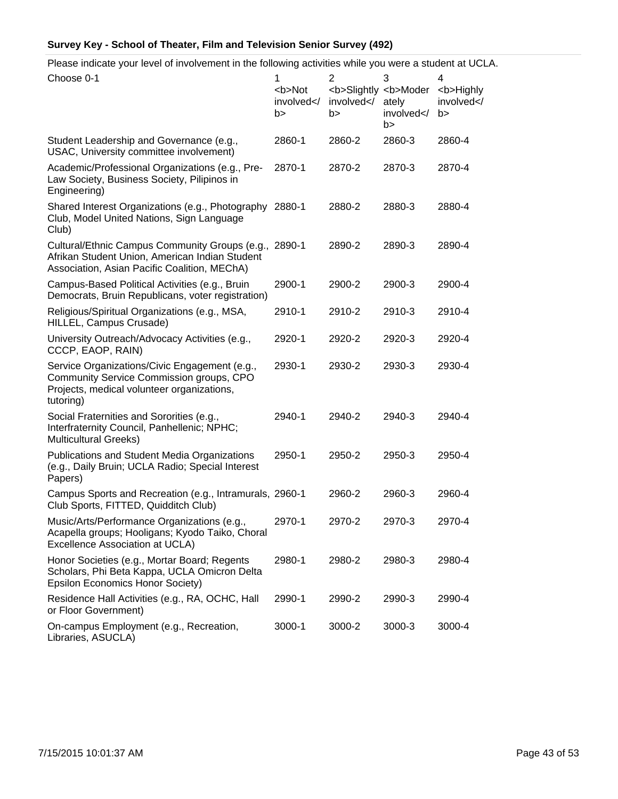Please indicate your level of involvement in the following activities while you were a student at UCLA.

| Choose 0-1                                                                                                                                              | 1<br><b>Not<br/>involved<!--<br-->b&gt;</b> | 2<br><b>Slightly <b>Moder<br/>involved<!--<br-->b&gt;</b></b> | 3<br>ately<br>involved <br b> | 4<br><b>Highly<br/>involved<!--<br-->b &gt;</b> |
|---------------------------------------------------------------------------------------------------------------------------------------------------------|---------------------------------------------|---------------------------------------------------------------|-------------------------------|-------------------------------------------------|
| Student Leadership and Governance (e.g.,<br>USAC, University committee involvement)                                                                     | 2860-1                                      | 2860-2                                                        | 2860-3                        | 2860-4                                          |
| Academic/Professional Organizations (e.g., Pre-<br>Law Society, Business Society, Pilipinos in<br>Engineering)                                          | 2870-1                                      | 2870-2                                                        | 2870-3                        | 2870-4                                          |
| Shared Interest Organizations (e.g., Photography 2880-1<br>Club, Model United Nations, Sign Language<br>Club)                                           |                                             | 2880-2                                                        | 2880-3                        | 2880-4                                          |
| Cultural/Ethnic Campus Community Groups (e.g., 2890-1<br>Afrikan Student Union, American Indian Student<br>Association, Asian Pacific Coalition, MEChA) |                                             | 2890-2                                                        | 2890-3                        | 2890-4                                          |
| Campus-Based Political Activities (e.g., Bruin<br>Democrats, Bruin Republicans, voter registration)                                                     | 2900-1                                      | 2900-2                                                        | 2900-3                        | 2900-4                                          |
| Religious/Spiritual Organizations (e.g., MSA,<br>HILLEL, Campus Crusade)                                                                                | 2910-1                                      | 2910-2                                                        | 2910-3                        | 2910-4                                          |
| University Outreach/Advocacy Activities (e.g.,<br>CCCP, EAOP, RAIN)                                                                                     | 2920-1                                      | 2920-2                                                        | 2920-3                        | 2920-4                                          |
| Service Organizations/Civic Engagement (e.g.,<br>Community Service Commission groups, CPO<br>Projects, medical volunteer organizations,<br>tutoring)    | 2930-1                                      | 2930-2                                                        | 2930-3                        | 2930-4                                          |
| Social Fraternities and Sororities (e.g.,<br>Interfraternity Council, Panhellenic; NPHC;<br><b>Multicultural Greeks)</b>                                | 2940-1                                      | 2940-2                                                        | 2940-3                        | 2940-4                                          |
| Publications and Student Media Organizations<br>(e.g., Daily Bruin; UCLA Radio; Special Interest<br>Papers)                                             | 2950-1                                      | 2950-2                                                        | 2950-3                        | 2950-4                                          |
| Campus Sports and Recreation (e.g., Intramurals, 2960-1<br>Club Sports, FITTED, Quidditch Club)                                                         |                                             | 2960-2                                                        | 2960-3                        | 2960-4                                          |
| Music/Arts/Performance Organizations (e.g.,<br>Acapella groups; Hooligans; Kyodo Taiko, Choral<br>Excellence Association at UCLA)                       | 2970-1                                      | 2970-2                                                        | 2970-3                        | 2970-4                                          |
| Honor Societies (e.g., Mortar Board; Regents<br>Scholars, Phi Beta Kappa, UCLA Omicron Delta<br><b>Epsilon Economics Honor Society)</b>                 | 2980-1                                      | 2980-2                                                        | 2980-3                        | 2980-4                                          |
| Residence Hall Activities (e.g., RA, OCHC, Hall<br>or Floor Government)                                                                                 | 2990-1                                      | 2990-2                                                        | 2990-3                        | 2990-4                                          |
| On-campus Employment (e.g., Recreation,<br>Libraries, ASUCLA)                                                                                           | 3000-1                                      | 3000-2                                                        | 3000-3                        | 3000-4                                          |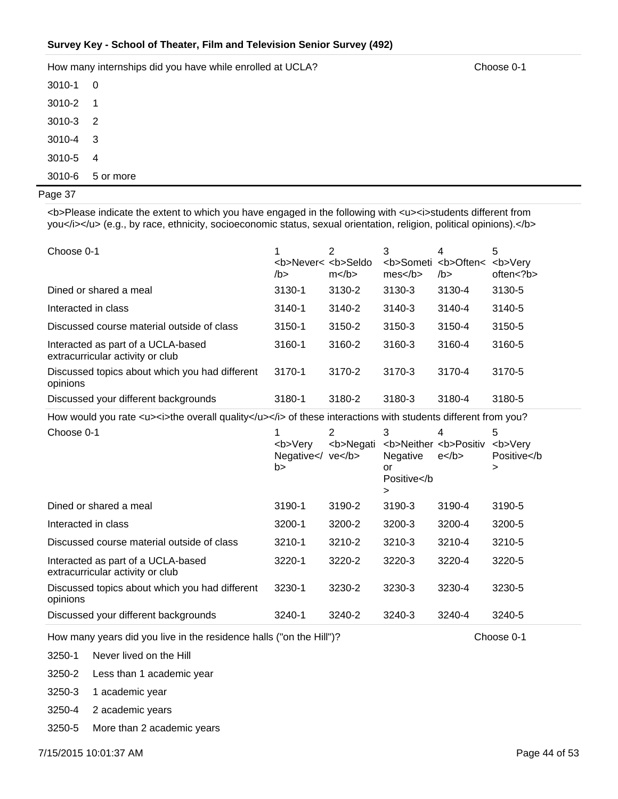How many internships did you have while enrolled at UCLA? Choose 0-1

3010-4 3 3010-5 4 3010-6 5 or more 3010-1 0 3010-2 1 3010-3 2

#### Page 37

<b>Please indicate the extent to which you have engaged in the following with <u><i>students different from you</i></u> (e.g., by race, ethnicity, socioeconomic status, sexual orientation, religion, political opinions).</b>

| Choose 0-1                                                             | <b>Never&lt; <b>Seldo<br/>/b&gt;</b></b> | 2<br>$m$ | 3<br>mes | 4<br><b>Someti <b>Often&lt;<br/>/b&gt;</b></b> | 5<br><b>Verv<br/>often<?b></b> |
|------------------------------------------------------------------------|------------------------------------------|----------|----------|------------------------------------------------|--------------------------------|
| Dined or shared a meal                                                 | 3130-1                                   | 3130-2   | 3130-3   | 3130-4                                         | 3130-5                         |
| Interacted in class                                                    | $3140 - 1$                               | 3140-2   | 3140-3   | 3140-4                                         | 3140-5                         |
| Discussed course material outside of class                             | 3150-1                                   | 3150-2   | 3150-3   | 3150-4                                         | 3150-5                         |
| Interacted as part of a UCLA-based<br>extracurricular activity or club | 3160-1                                   | 3160-2   | 3160-3   | 3160-4                                         | 3160-5                         |
| Discussed topics about which you had different<br>opinions             | 3170-1                                   | 3170-2   | 3170-3   | 3170-4                                         | 3170-5                         |
| Discussed your different backgrounds                                   | 3180-1                                   | 3180-2   | 3180-3   | 3180-4                                         | 3180-5                         |

How would you rate <u><i>the overall quality</u></i><i>>> of these interactions with students different from you?

| Choose 0-1                                                             | <b>Very<br/>Negative<math>\lt</math>/<br/>b&gt;</b> | 2<br><b>Negati<br/>ve</b> | 3<br><b>Neither <b>Positiv<br/>Negative<br/>or<br/>Positive&gt;</b></b> | 4<br>$e$ | 5<br><b>Very<br/>Positive&gt;</b> |
|------------------------------------------------------------------------|-----------------------------------------------------|---------------------------|-------------------------------------------------------------------------|----------|-----------------------------------|
| Dined or shared a meal                                                 | 3190-1                                              | 3190-2                    | 3190-3                                                                  | 3190-4   | 3190-5                            |
| Interacted in class                                                    | 3200-1                                              | 3200-2                    | 3200-3                                                                  | 3200-4   | 3200-5                            |
| Discussed course material outside of class                             | 3210-1                                              | 3210-2                    | 3210-3                                                                  | 3210-4   | 3210-5                            |
| Interacted as part of a UCLA-based<br>extracurricular activity or club | 3220-1                                              | 3220-2                    | 3220-3                                                                  | 3220-4   | 3220-5                            |
| Discussed topics about which you had different<br>opinions             | 3230-1                                              | 3230-2                    | 3230-3                                                                  | 3230-4   | 3230-5                            |
| Discussed your different backgrounds                                   | 3240-1                                              | 3240-2                    | 3240-3                                                                  | 3240-4   | 3240-5                            |

How many years did you live in the residence halls ("on the Hill")? Choose 0-1

3250-1 Never lived on the Hill

3250-2 Less than 1 academic year

3250-3 1 academic year

3250-4 2 academic years

3250-5 More than 2 academic years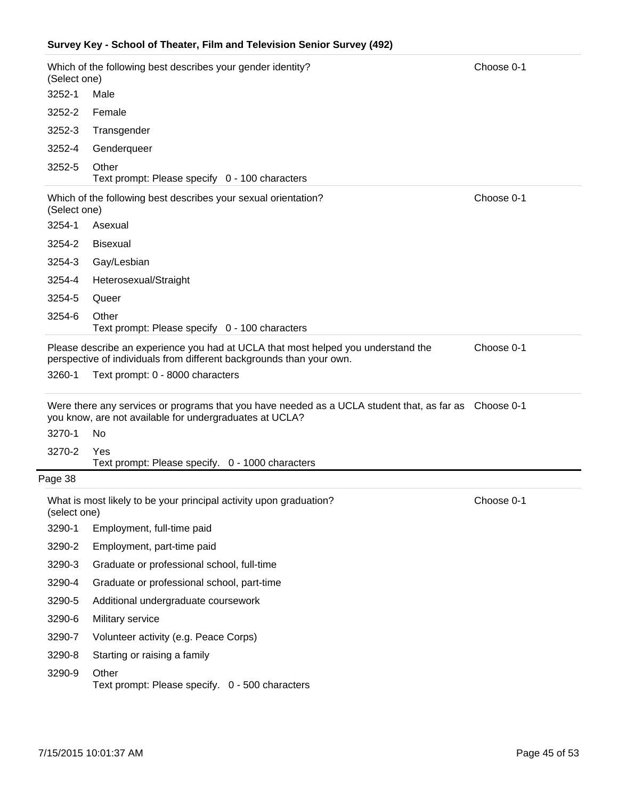| (Select one) | Which of the following best describes your gender identity?                                                                                                      | Choose 0-1 |
|--------------|------------------------------------------------------------------------------------------------------------------------------------------------------------------|------------|
| 3252-1       | Male                                                                                                                                                             |            |
| 3252-2       | Female                                                                                                                                                           |            |
| 3252-3       | Transgender                                                                                                                                                      |            |
| 3252-4       | Genderqueer                                                                                                                                                      |            |
| 3252-5       | Other<br>Text prompt: Please specify 0 - 100 characters                                                                                                          |            |
| (Select one) | Which of the following best describes your sexual orientation?                                                                                                   | Choose 0-1 |
| 3254-1       | Asexual                                                                                                                                                          |            |
| 3254-2       | <b>Bisexual</b>                                                                                                                                                  |            |
| 3254-3       | Gay/Lesbian                                                                                                                                                      |            |
| 3254-4       | Heterosexual/Straight                                                                                                                                            |            |
| 3254-5       | Queer                                                                                                                                                            |            |
| 3254-6       | Other<br>Text prompt: Please specify 0 - 100 characters                                                                                                          |            |
|              | Please describe an experience you had at UCLA that most helped you understand the<br>perspective of individuals from different backgrounds than your own.        | Choose 0-1 |
| 3260-1       | Text prompt: 0 - 8000 characters                                                                                                                                 |            |
|              | Were there any services or programs that you have needed as a UCLA student that, as far as Choose 0-1<br>you know, are not available for undergraduates at UCLA? |            |
| 3270-1       | No                                                                                                                                                               |            |
| 3270-2       | Yes                                                                                                                                                              |            |
|              | Text prompt: Please specify. 0 - 1000 characters                                                                                                                 |            |
| Page 38      | What is most likely to be your principal activity upon graduation?                                                                                               | Choose 0-1 |
| (select one) |                                                                                                                                                                  |            |
| 3290-1       | Employment, full-time paid                                                                                                                                       |            |
| 3290-2       | Employment, part-time paid                                                                                                                                       |            |
| 3290-3       | Graduate or professional school, full-time                                                                                                                       |            |
| 3290-4       | Graduate or professional school, part-time                                                                                                                       |            |
| 3290-5       | Additional undergraduate coursework                                                                                                                              |            |
| 3290-6       | Military service                                                                                                                                                 |            |
| 3290-7       | Volunteer activity (e.g. Peace Corps)                                                                                                                            |            |
| 3290-8       | Starting or raising a family                                                                                                                                     |            |
| 3290-9       | Other<br>Text prompt: Please specify. 0 - 500 characters                                                                                                         |            |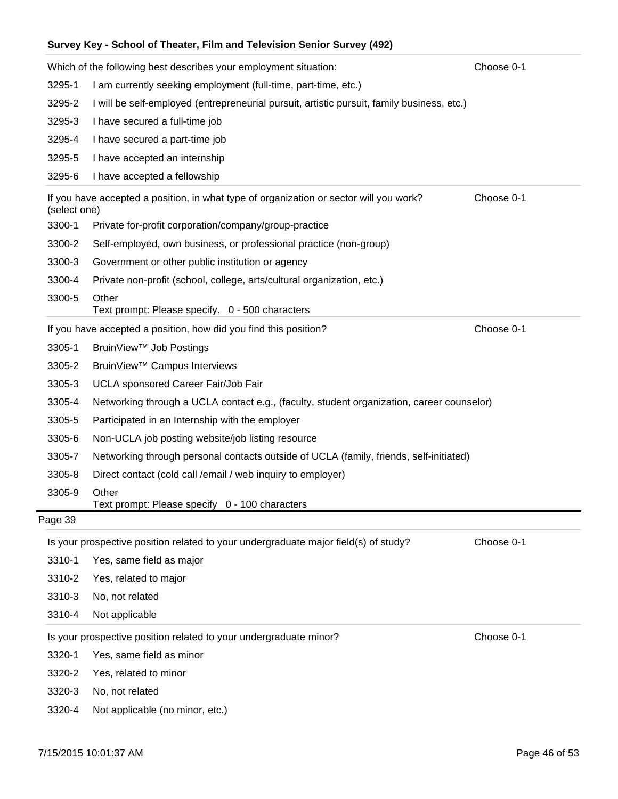|              | Which of the following best describes your employment situation:                           | Choose 0-1 |
|--------------|--------------------------------------------------------------------------------------------|------------|
| 3295-1       | I am currently seeking employment (full-time, part-time, etc.)                             |            |
| 3295-2       | I will be self-employed (entrepreneurial pursuit, artistic pursuit, family business, etc.) |            |
| 3295-3       | I have secured a full-time job                                                             |            |
| 3295-4       | I have secured a part-time job                                                             |            |
| 3295-5       | I have accepted an internship                                                              |            |
| 3295-6       | I have accepted a fellowship                                                               |            |
| (select one) | If you have accepted a position, in what type of organization or sector will you work?     | Choose 0-1 |
| 3300-1       | Private for-profit corporation/company/group-practice                                      |            |
| 3300-2       | Self-employed, own business, or professional practice (non-group)                          |            |
| 3300-3       | Government or other public institution or agency                                           |            |
| 3300-4       | Private non-profit (school, college, arts/cultural organization, etc.)                     |            |
| 3300-5       | Other<br>Text prompt: Please specify. 0 - 500 characters                                   |            |
|              | If you have accepted a position, how did you find this position?                           | Choose 0-1 |
| 3305-1       | BruinView <sup>™</sup> Job Postings                                                        |            |
| 3305-2       | BruinView <sup>™</sup> Campus Interviews                                                   |            |
| 3305-3       | UCLA sponsored Career Fair/Job Fair                                                        |            |
| 3305-4       | Networking through a UCLA contact e.g., (faculty, student organization, career counselor)  |            |
| 3305-5       | Participated in an Internship with the employer                                            |            |
| 3305-6       | Non-UCLA job posting website/job listing resource                                          |            |
| 3305-7       | Networking through personal contacts outside of UCLA (family, friends, self-initiated)     |            |
| 3305-8       | Direct contact (cold call /email / web inquiry to employer)                                |            |
| 3305-9       | Other<br>Text prompt: Please specify 0 - 100 characters                                    |            |
| Page 39      |                                                                                            |            |
|              | Is your prospective position related to your undergraduate major field(s) of study?        | Choose 0-1 |
| 3310-1       | Yes, same field as major                                                                   |            |
| 3310-2       | Yes, related to major                                                                      |            |
| 3310-3       | No, not related                                                                            |            |
| 3310-4       | Not applicable                                                                             |            |
|              | Is your prospective position related to your undergraduate minor?                          | Choose 0-1 |
| 3320-1       | Yes, same field as minor                                                                   |            |
| 3320-2       | Yes, related to minor                                                                      |            |
| 3320-3       | No, not related                                                                            |            |

3320-4 Not applicable (no minor, etc.)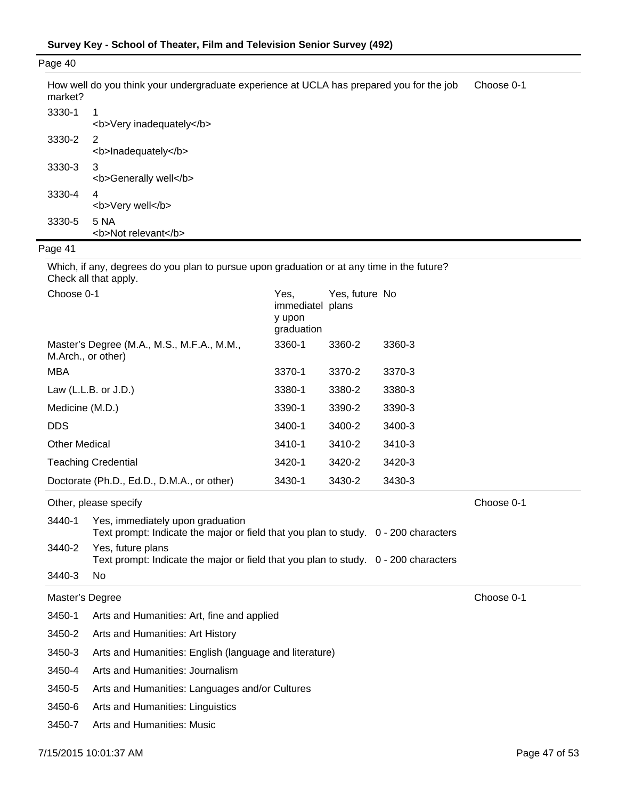| Page 40 |                                                                                          |            |
|---------|------------------------------------------------------------------------------------------|------------|
| market? | How well do you think your undergraduate experience at UCLA has prepared you for the job | Choose 0-1 |
| 3330-1  | 1<br><b>Very inadequately</b>                                                            |            |
| 3330-2  | 2<br><b>Inadequately</b>                                                                 |            |
| 3330-3  | 3<br><b>Generally well</b>                                                               |            |
| 3330-4  | 4<br><b>Very well</b>                                                                    |            |
| 3330-5  | 5 NA<br><b>Not relevant</b>                                                              |            |
|         |                                                                                          |            |

Which, if any, degrees do you plan to pursue upon graduation or at any time in the future? Check all that apply.

| Choose 0-1                                                       | Yes.<br>immediatel plans<br>y upon<br>graduation | Yes, future No |        |
|------------------------------------------------------------------|--------------------------------------------------|----------------|--------|
| Master's Degree (M.A., M.S., M.F.A., M.M.,<br>M.Arch., or other) | 3360-1                                           | 3360-2         | 3360-3 |
| MBA                                                              | 3370-1                                           | 3370-2         | 3370-3 |
| Law $(L.L.B. or J.D.)$                                           | 3380-1                                           | 3380-2         | 3380-3 |
| Medicine (M.D.)                                                  | 3390-1                                           | 3390-2         | 3390-3 |
| <b>DDS</b>                                                       | 3400-1                                           | 3400-2         | 3400-3 |
| <b>Other Medical</b>                                             | 3410-1                                           | 3410-2         | 3410-3 |
| <b>Teaching Credential</b>                                       | 3420-1                                           | 3420-2         | 3420-3 |
| Doctorate (Ph.D., Ed.D., D.M.A., or other)                       | 3430-1                                           | 3430-2         | 3430-3 |

| Other, please specify | Choose 0-1 |
|-----------------------|------------|
|                       |            |

| 3440-1 | Yes, immediately upon graduation<br>Text prompt: Indicate the major or field that you plan to study. 0 - 200 characters |  |
|--------|-------------------------------------------------------------------------------------------------------------------------|--|
| 3440-2 | Yes, future plans<br>Text prompt: Indicate the major or field that you plan to study. 0 - 200 characters                |  |

3440-3 No

Master's Degree Choose 0-1

| 3450-1 | Arts and Humanities: Art, fine and applied |
|--------|--------------------------------------------|
|--------|--------------------------------------------|

3450-2 Arts and Humanities: Art History

3450-3 Arts and Humanities: English (language and literature)

3450-4 Arts and Humanities: Journalism

3450-5 Arts and Humanities: Languages and/or Cultures

3450-6 Arts and Humanities: Linguistics

3450-7 Arts and Humanities: Music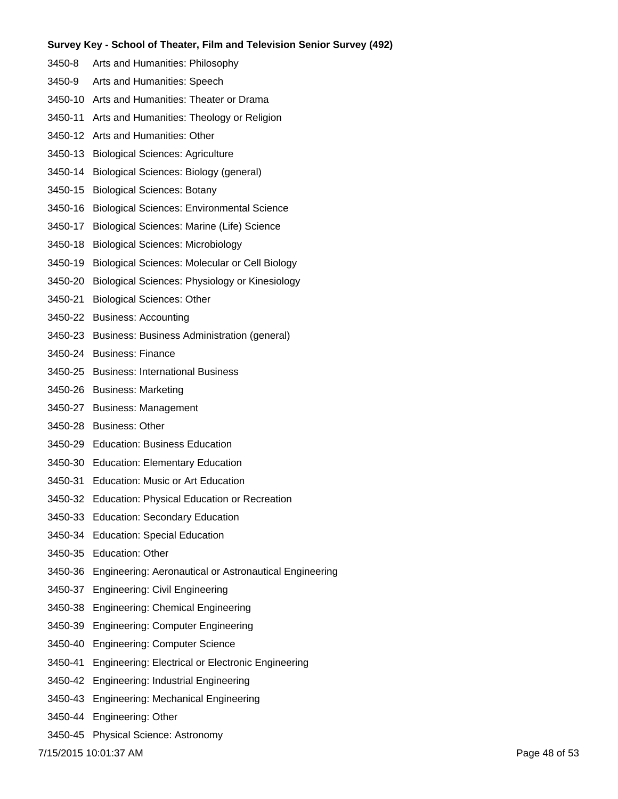- 3450-8 Arts and Humanities: Philosophy
- 3450-9 Arts and Humanities: Speech
- 3450-10 Arts and Humanities: Theater or Drama
- 3450-11 Arts and Humanities: Theology or Religion
- 3450-12 Arts and Humanities: Other
- 3450-13 Biological Sciences: Agriculture
- 3450-14 Biological Sciences: Biology (general)
- 3450-15 Biological Sciences: Botany
- 3450-16 Biological Sciences: Environmental Science
- 3450-17 Biological Sciences: Marine (Life) Science
- 3450-18 Biological Sciences: Microbiology
- 3450-19 Biological Sciences: Molecular or Cell Biology
- 3450-20 Biological Sciences: Physiology or Kinesiology
- 3450-21 Biological Sciences: Other
- 3450-22 Business: Accounting
- 3450-23 Business: Business Administration (general)
- 3450-24 Business: Finance
- 3450-25 Business: International Business
- 3450-26 Business: Marketing
- 3450-27 Business: Management
- 3450-28 Business: Other
- 3450-29 Education: Business Education
- 3450-30 Education: Elementary Education
- 3450-31 Education: Music or Art Education
- 3450-32 Education: Physical Education or Recreation
- 3450-33 Education: Secondary Education
- 3450-34 Education: Special Education
- 3450-35 Education: Other
- 3450-36 Engineering: Aeronautical or Astronautical Engineering
- 3450-37 Engineering: Civil Engineering
- 3450-38 Engineering: Chemical Engineering
- 3450-39 Engineering: Computer Engineering
- 3450-40 Engineering: Computer Science
- 3450-41 Engineering: Electrical or Electronic Engineering
- 3450-42 Engineering: Industrial Engineering
- 3450-43 Engineering: Mechanical Engineering
- 3450-44 Engineering: Other
- 3450-45 Physical Science: Astronomy

7/15/2015 10:01:37 AM Page 48 of 53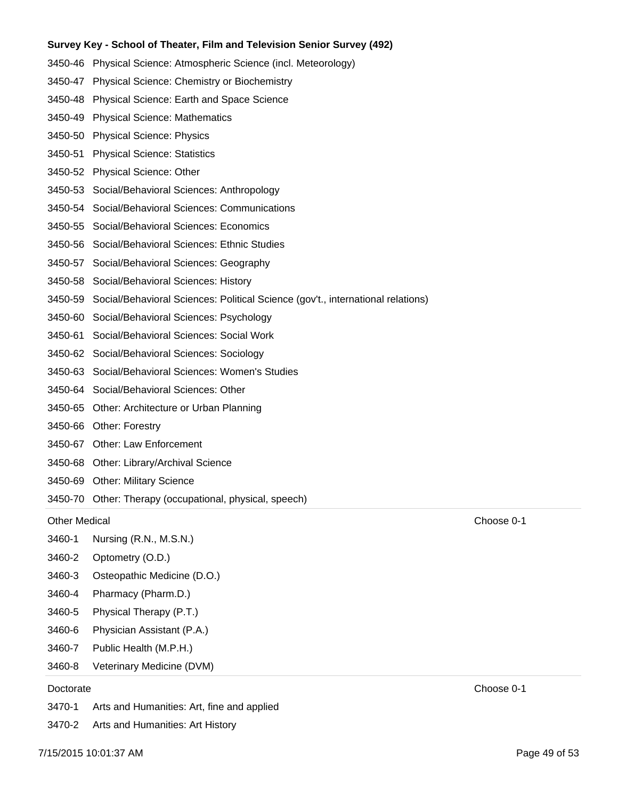- 3450-46 Physical Science: Atmospheric Science (incl. Meteorology)
- 3450-47 Physical Science: Chemistry or Biochemistry
- 3450-48 Physical Science: Earth and Space Science
- 3450-49 Physical Science: Mathematics
- 3450-50 Physical Science: Physics
- 3450-51 Physical Science: Statistics
- 3450-52 Physical Science: Other
- 3450-53 Social/Behavioral Sciences: Anthropology
- 3450-54 Social/Behavioral Sciences: Communications
- 3450-55 Social/Behavioral Sciences: Economics
- 3450-56 Social/Behavioral Sciences: Ethnic Studies
- 3450-57 Social/Behavioral Sciences: Geography
- 3450-58 Social/Behavioral Sciences: History
- 3450-59 Social/Behavioral Sciences: Political Science (gov't., international relations)
- 3450-60 Social/Behavioral Sciences: Psychology
- 3450-61 Social/Behavioral Sciences: Social Work
- 3450-62 Social/Behavioral Sciences: Sociology
- 3450-63 Social/Behavioral Sciences: Women's Studies
- 3450-64 Social/Behavioral Sciences: Other
- 3450-65 Other: Architecture or Urban Planning
- 3450-66 Other: Forestry
- 3450-67 Other: Law Enforcement
- 3450-68 Other: Library/Archival Science
- 3450-69 Other: Military Science
- 3450-70 Other: Therapy (occupational, physical, speech)

#### Other Medical Choose 0-1

- 3460-1 Nursing (R.N., M.S.N.)
- 3460-2 Optometry (O.D.)
- 3460-3 Osteopathic Medicine (D.O.)
- 3460-4 Pharmacy (Pharm.D.)
- 3460-5 Physical Therapy (P.T.)
- 3460-6 Physician Assistant (P.A.)
- 3460-7 Public Health (M.P.H.)
- 3460-8 Veterinary Medicine (DVM)

3470-1 Arts and Humanities: Art, fine and applied

3470-2 Arts and Humanities: Art History

Doctorate Choose 0-1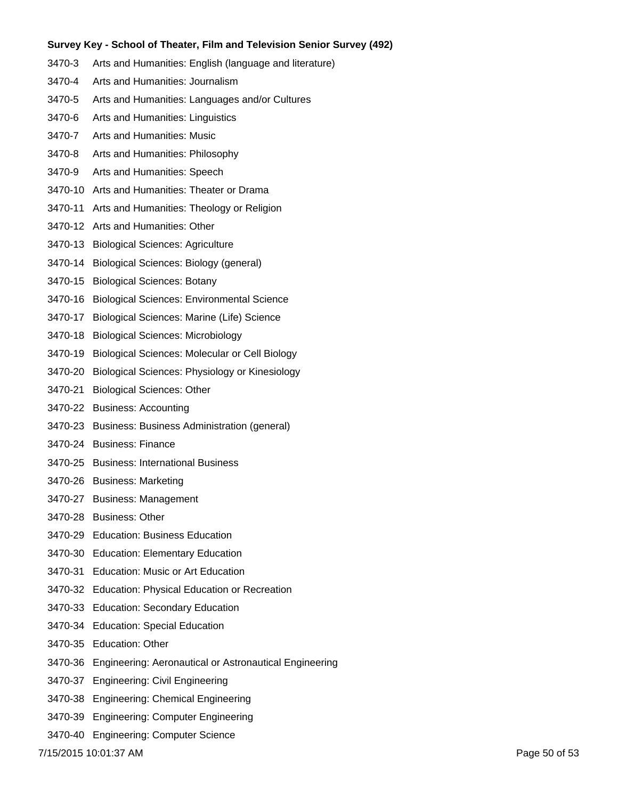- 3470-3 Arts and Humanities: English (language and literature)
- 3470-4 Arts and Humanities: Journalism
- 3470-5 Arts and Humanities: Languages and/or Cultures
- 3470-6 Arts and Humanities: Linguistics
- 3470-7 Arts and Humanities: Music
- 3470-8 Arts and Humanities: Philosophy
- 3470-9 Arts and Humanities: Speech
- 3470-10 Arts and Humanities: Theater or Drama
- 3470-11 Arts and Humanities: Theology or Religion
- 3470-12 Arts and Humanities: Other
- 3470-13 Biological Sciences: Agriculture
- 3470-14 Biological Sciences: Biology (general)
- 3470-15 Biological Sciences: Botany
- 3470-16 Biological Sciences: Environmental Science
- 3470-17 Biological Sciences: Marine (Life) Science
- 3470-18 Biological Sciences: Microbiology
- 3470-19 Biological Sciences: Molecular or Cell Biology
- 3470-20 Biological Sciences: Physiology or Kinesiology
- 3470-21 Biological Sciences: Other
- 3470-22 Business: Accounting
- 3470-23 Business: Business Administration (general)
- 3470-24 Business: Finance
- 3470-25 Business: International Business
- 3470-26 Business: Marketing
- 3470-27 Business: Management
- 3470-28 Business: Other
- 3470-29 Education: Business Education
- 3470-30 Education: Elementary Education
- 3470-31 Education: Music or Art Education
- 3470-32 Education: Physical Education or Recreation
- 3470-33 Education: Secondary Education
- 3470-34 Education: Special Education
- 3470-35 Education: Other
- 3470-36 Engineering: Aeronautical or Astronautical Engineering
- 3470-37 Engineering: Civil Engineering
- 3470-38 Engineering: Chemical Engineering
- 3470-39 Engineering: Computer Engineering
- 3470-40 Engineering: Computer Science

7/15/2015 10:01:37 AM Page 50 of 53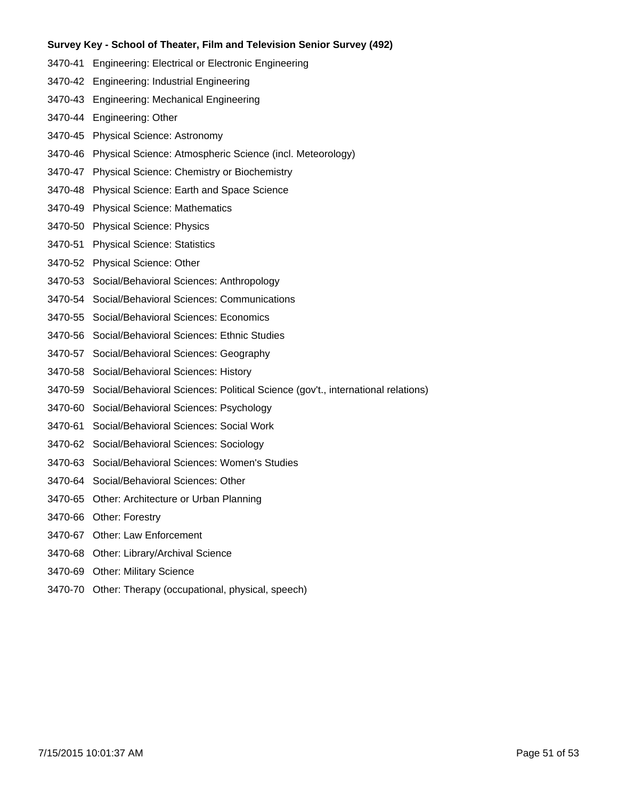- 3470-41 Engineering: Electrical or Electronic Engineering
- 3470-42 Engineering: Industrial Engineering
- 3470-43 Engineering: Mechanical Engineering
- 3470-44 Engineering: Other
- 3470-45 Physical Science: Astronomy
- 3470-46 Physical Science: Atmospheric Science (incl. Meteorology)
- 3470-47 Physical Science: Chemistry or Biochemistry
- 3470-48 Physical Science: Earth and Space Science
- 3470-49 Physical Science: Mathematics
- 3470-50 Physical Science: Physics
- 3470-51 Physical Science: Statistics
- 3470-52 Physical Science: Other
- 3470-53 Social/Behavioral Sciences: Anthropology
- 3470-54 Social/Behavioral Sciences: Communications
- 3470-55 Social/Behavioral Sciences: Economics
- 3470-56 Social/Behavioral Sciences: Ethnic Studies
- 3470-57 Social/Behavioral Sciences: Geography
- 3470-58 Social/Behavioral Sciences: History
- 3470-59 Social/Behavioral Sciences: Political Science (gov't., international relations)
- 3470-60 Social/Behavioral Sciences: Psychology
- 3470-61 Social/Behavioral Sciences: Social Work
- 3470-62 Social/Behavioral Sciences: Sociology
- 3470-63 Social/Behavioral Sciences: Women's Studies
- 3470-64 Social/Behavioral Sciences: Other
- 3470-65 Other: Architecture or Urban Planning
- 3470-66 Other: Forestry
- 3470-67 Other: Law Enforcement
- 3470-68 Other: Library/Archival Science
- 3470-69 Other: Military Science
- 3470-70 Other: Therapy (occupational, physical, speech)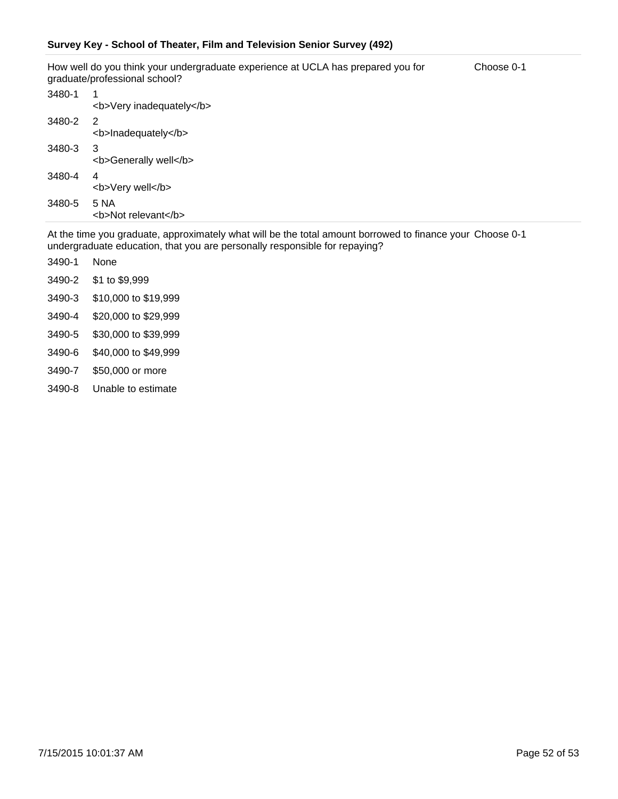How well do you think your undergraduate experience at UCLA has prepared you for graduate/professional school? Choose 0-1

| 3480-1 | 1<br><b>Very inadequately</b> |
|--------|-------------------------------|
| 3480-2 | 2<br><b>Inadequately</b>      |
| 3480-3 | 3<br><b>Generally well</b>    |
| 3480-4 | 4<br><b>Very well</b>         |
| 3480-5 | 5 NA<br><b>Not relevant</b>   |

At the time you graduate, approximately what will be the total amount borrowed to finance your Choose 0-1 undergraduate education, that you are personally responsible for repaying?

- 3490-1 None
- 3490-2 \$1 to \$9,999
- 3490-3 \$10,000 to \$19,999
- 3490-4 \$20,000 to \$29,999
- 3490-5 \$30,000 to \$39,999
- 3490-6 \$40,000 to \$49,999
- 3490-7 \$50,000 or more
- 3490-8 Unable to estimate